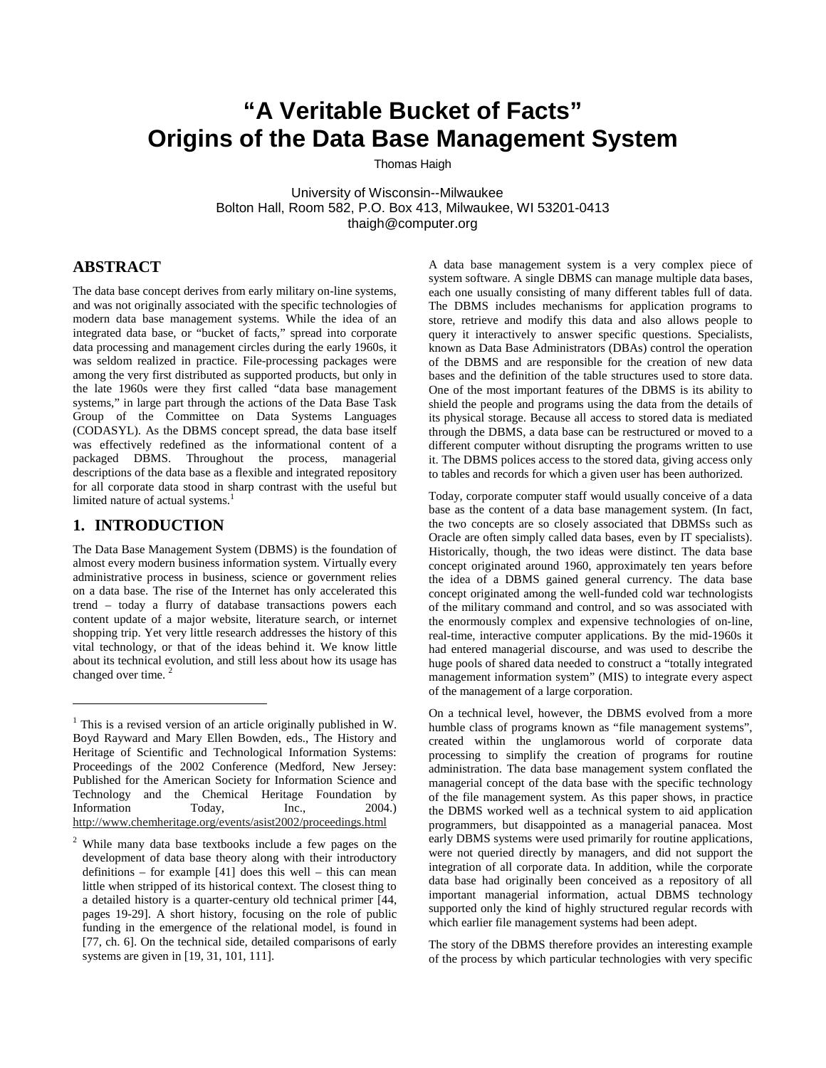# **"A Veritable Bucket of Facts" Origins of the Data Base Management System**

Thomas Haigh

University of Wisconsin--Milwaukee Bolton Hall, Room 582, P.O. Box 413, Milwaukee, WI 53201-0413 thaigh@computer.org

#### **ABSTRACT**

The data base concept derives from early military on-line systems, and was not originally associated with the specific technologies of modern data base management systems. While the idea of an integrated data base, or "bucket of facts," spread into corporate data processing and management circles during the early 1960s, it was seldom realized in practice. File-processing packages were among the very first distributed as supported products, but only in the late 1960s were they first called "data base management systems," in large part through the actions of the Data Base Task Group of the Committee on Data Systems Languages (CODASYL). As the DBMS concept spread, the data base itself was effectively redefined as the informational content of a packaged DBMS. Throughout the process, managerial descriptions of the data base as a flexible and integrated repository for all corporate data stood in sharp contrast with the useful but limited nature of actual systems.<sup>1</sup>

#### **1. INTRODUCTION**

The Data Base Management System (DBMS) is the foundation of almost every modern business information system. Virtually every administrative process in business, science or government relies on a data base. The rise of the Internet has only accelerated this trend – today a flurry of database transactions powers each content update of a major website, literature search, or internet shopping trip. Yet very little research addresses the history of this vital technology, or that of the ideas behind it. We know little about its technical evolution, and still less about how its usage has changed over time.<sup>2</sup>

A data base management system is a very complex piece of system software. A single DBMS can manage multiple data bases, each one usually consisting of many different tables full of data. The DBMS includes mechanisms for application programs to store, retrieve and modify this data and also allows people to query it interactively to answer specific questions. Specialists, known as Data Base Administrators (DBAs) control the operation of the DBMS and are responsible for the creation of new data bases and the definition of the table structures used to store data. One of the most important features of the DBMS is its ability to shield the people and programs using the data from the details of its physical storage. Because all access to stored data is mediated through the DBMS, a data base can be restructured or moved to a different computer without disrupting the programs written to use it. The DBMS polices access to the stored data, giving access only to tables and records for which a given user has been authorized.

Today, corporate computer staff would usually conceive of a data base as the content of a data base management system. (In fact, the two concepts are so closely associated that DBMSs such as Oracle are often simply called data bases, even by IT specialists). Historically, though, the two ideas were distinct. The data base concept originated around 1960, approximately ten years before the idea of a DBMS gained general currency. The data base concept originated among the well-funded cold war technologists of the military command and control, and so was associated with the enormously complex and expensive technologies of on-line, real-time, interactive computer applications. By the mid-1960s it had entered managerial discourse, and was used to describe the huge pools of shared data needed to construct a "totally integrated management information system" (MIS) to integrate every aspect of the management of a large corporation.

On a technical level, however, the DBMS evolved from a more humble class of programs known as "file management systems", created within the unglamorous world of corporate data processing to simplify the creation of programs for routine administration. The data base management system conflated the managerial concept of the data base with the specific technology of the file management system. As this paper shows, in practice the DBMS worked well as a technical system to aid application programmers, but disappointed as a managerial panacea. Most early DBMS systems were used primarily for routine applications, were not queried directly by managers, and did not support the integration of all corporate data. In addition, while the corporate data base had originally been conceived as a repository of all important managerial information, actual DBMS technology supported only the kind of highly structured regular records with which earlier file management systems had been adept.

The story of the DBMS therefore provides an interesting example of the process by which particular technologies with very specific

 $<sup>1</sup>$  This is a revised version of an article originally published in W.</sup> Boyd Rayward and Mary Ellen Bowden, eds., The History and Heritage of Scientific and Technological Information Systems: Proceedings of the 2002 Conference (Medford, New Jersey: Published for the American Society for Information Science and Technology and the Chemical Heritage Foundation by Information Today, Inc., 2004.) http://www.chemheritage.org/events/asist2002/proceedings.html

<sup>2</sup> While many data base textbooks include a few pages on the development of data base theory along with their introductory definitions – for example [41] does this well – this can mean little when stripped of its historical context. The closest thing to a detailed history is a quarter-century old technical primer [44, pages 19-29]. A short history, focusing on the role of public funding in the emergence of the relational model, is found in [77, ch. 6]. On the technical side, detailed comparisons of early systems are given in [19, 31, 101, 111].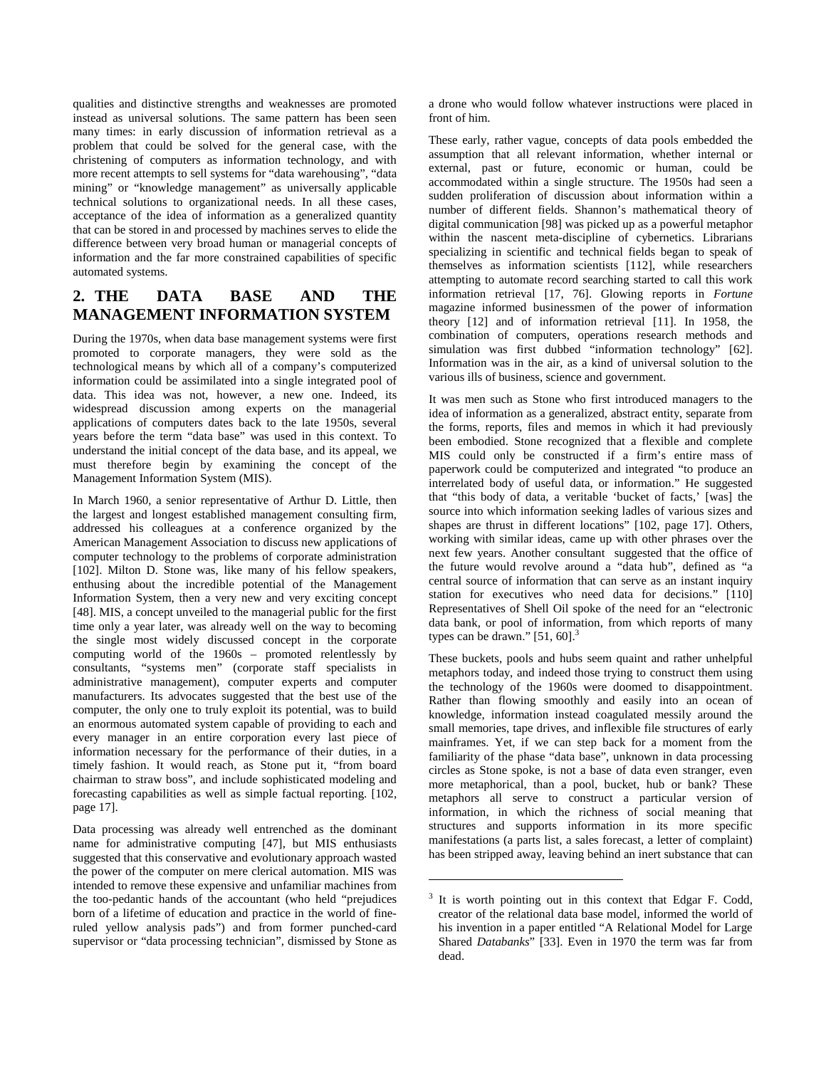qualities and distinctive strengths and weaknesses are promoted instead as universal solutions. The same pattern has been seen many times: in early discussion of information retrieval as a problem that could be solved for the general case, with the christening of computers as information technology, and with more recent attempts to sell systems for "data warehousing", "data mining" or "knowledge management" as universally applicable technical solutions to organizational needs. In all these cases, acceptance of the idea of information as a generalized quantity that can be stored in and processed by machines serves to elide the difference between very broad human or managerial concepts of information and the far more constrained capabilities of specific automated systems.

### **2. THE DATA BASE AND THE MANAGEMENT INFORMATION SYSTEM**

During the 1970s, when data base management systems were first promoted to corporate managers, they were sold as the technological means by which all of a company's computerized information could be assimilated into a single integrated pool of data. This idea was not, however, a new one. Indeed, its widespread discussion among experts on the managerial applications of computers dates back to the late 1950s, several years before the term "data base" was used in this context. To understand the initial concept of the data base, and its appeal, we must therefore begin by examining the concept of the Management Information System (MIS).

In March 1960, a senior representative of Arthur D. Little, then the largest and longest established management consulting firm, addressed his colleagues at a conference organized by the American Management Association to discuss new applications of computer technology to the problems of corporate administration [102]. Milton D. Stone was, like many of his fellow speakers, enthusing about the incredible potential of the Management Information System, then a very new and very exciting concept [48]. MIS, a concept unveiled to the managerial public for the first time only a year later, was already well on the way to becoming the single most widely discussed concept in the corporate computing world of the 1960s – promoted relentlessly by consultants, "systems men" (corporate staff specialists in administrative management), computer experts and computer manufacturers. Its advocates suggested that the best use of the computer, the only one to truly exploit its potential, was to build an enormous automated system capable of providing to each and every manager in an entire corporation every last piece of information necessary for the performance of their duties, in a timely fashion. It would reach, as Stone put it, "from board chairman to straw boss", and include sophisticated modeling and forecasting capabilities as well as simple factual reporting. [102, page 17].

Data processing was already well entrenched as the dominant name for administrative computing [47], but MIS enthusiasts suggested that this conservative and evolutionary approach wasted the power of the computer on mere clerical automation. MIS was intended to remove these expensive and unfamiliar machines from the too-pedantic hands of the accountant (who held "prejudices born of a lifetime of education and practice in the world of fineruled yellow analysis pads") and from former punched-card supervisor or "data processing technician", dismissed by Stone as

a drone who would follow whatever instructions were placed in front of him.

These early, rather vague, concepts of data pools embedded the assumption that all relevant information, whether internal or external, past or future, economic or human, could be accommodated within a single structure. The 1950s had seen a sudden proliferation of discussion about information within a number of different fields. Shannon's mathematical theory of digital communication [98] was picked up as a powerful metaphor within the nascent meta-discipline of cybernetics. Librarians specializing in scientific and technical fields began to speak of themselves as information scientists [112], while researchers attempting to automate record searching started to call this work information retrieval [17, 76]. Glowing reports in *Fortune* magazine informed businessmen of the power of information theory [12] and of information retrieval [11]. In 1958, the combination of computers, operations research methods and simulation was first dubbed "information technology" [62]. Information was in the air, as a kind of universal solution to the various ills of business, science and government.

It was men such as Stone who first introduced managers to the idea of information as a generalized, abstract entity, separate from the forms, reports, files and memos in which it had previously been embodied. Stone recognized that a flexible and complete MIS could only be constructed if a firm's entire mass of paperwork could be computerized and integrated "to produce an interrelated body of useful data, or information." He suggested that "this body of data, a veritable 'bucket of facts,' [was] the source into which information seeking ladles of various sizes and shapes are thrust in different locations" [102, page 17]. Others, working with similar ideas, came up with other phrases over the next few years. Another consultant suggested that the office of the future would revolve around a "data hub", defined as "a central source of information that can serve as an instant inquiry station for executives who need data for decisions." [110] Representatives of Shell Oil spoke of the need for an "electronic data bank, or pool of information, from which reports of many types can be drawn."  $[51, 60]$ .<sup>3</sup>

These buckets, pools and hubs seem quaint and rather unhelpful metaphors today, and indeed those trying to construct them using the technology of the 1960s were doomed to disappointment. Rather than flowing smoothly and easily into an ocean of knowledge, information instead coagulated messily around the small memories, tape drives, and inflexible file structures of early mainframes. Yet, if we can step back for a moment from the familiarity of the phase "data base", unknown in data processing circles as Stone spoke, is not a base of data even stranger, even more metaphorical, than a pool, bucket, hub or bank? These metaphors all serve to construct a particular version of information, in which the richness of social meaning that structures and supports information in its more specific manifestations (a parts list, a sales forecast, a letter of complaint) has been stripped away, leaving behind an inert substance that can

<sup>&</sup>lt;sup>3</sup> It is worth pointing out in this context that Edgar F. Codd, creator of the relational data base model, informed the world of his invention in a paper entitled "A Relational Model for Large Shared *Databanks*" [33]. Even in 1970 the term was far from dead.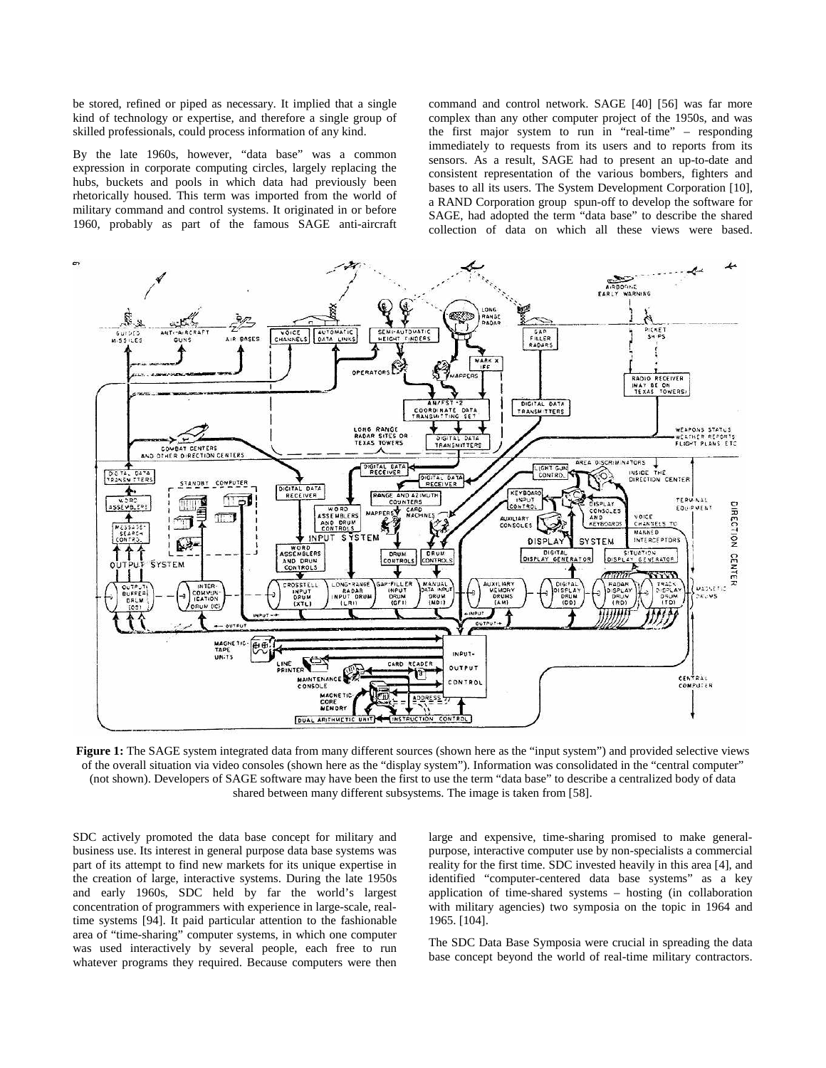be stored, refined or piped as necessary. It implied that a single kind of technology or expertise, and therefore a single group of skilled professionals, could process information of any kind.

By the late 1960s, however, "data base" was a common expression in corporate computing circles, largely replacing the hubs, buckets and pools in which data had previously been rhetorically housed. This term was imported from the world of military command and control systems. It originated in or before 1960, probably as part of the famous SAGE anti-aircraft

command and control network. SAGE [40] [56] was far more complex than any other computer project of the 1950s, and was the first major system to run in "real-time" – responding immediately to requests from its users and to reports from its sensors. As a result, SAGE had to present an up-to-date and consistent representation of the various bombers, fighters and bases to all its users. The System Development Corporation [10], a RAND Corporation group spun-off to develop the software for SAGE, had adopted the term "data base" to describe the shared collection of data on which all these views were based.



**Figure 1:** The SAGE system integrated data from many different sources (shown here as the "input system") and provided selective views of the overall situation via video consoles (shown here as the "display system"). Information was consolidated in the "central computer" (not shown). Developers of SAGE software may have been the first to use the term "data base" to describe a centralized body of data shared between many different subsystems. The image is taken from [58].

SDC actively promoted the data base concept for military and business use. Its interest in general purpose data base systems was part of its attempt to find new markets for its unique expertise in the creation of large, interactive systems. During the late 1950s and early 1960s, SDC held by far the world's largest concentration of programmers with experience in large-scale, realtime systems [94]. It paid particular attention to the fashionable area of "time-sharing" computer systems, in which one computer was used interactively by several people, each free to run whatever programs they required. Because computers were then

large and expensive, time-sharing promised to make generalpurpose, interactive computer use by non-specialists a commercial reality for the first time. SDC invested heavily in this area [4], and identified "computer-centered data base systems" as a key application of time-shared systems – hosting (in collaboration with military agencies) two symposia on the topic in 1964 and 1965. [104].

The SDC Data Base Symposia were crucial in spreading the data base concept beyond the world of real-time military contractors.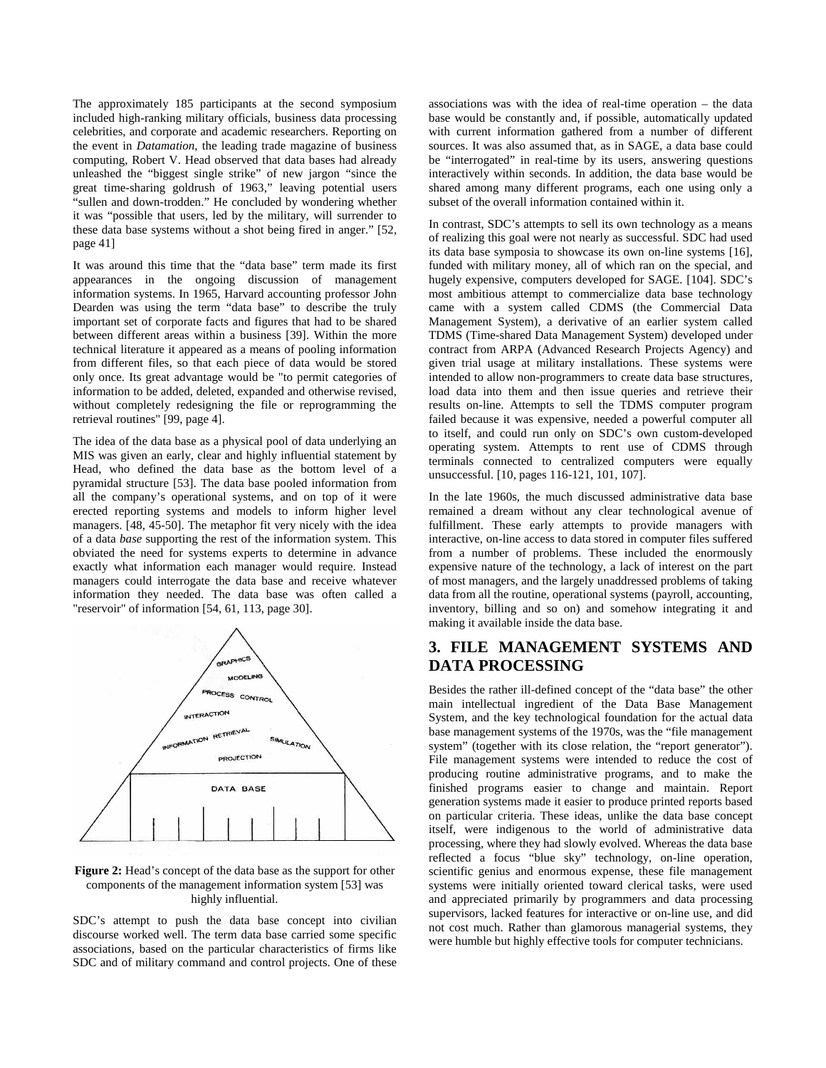The approximately 185 participants at the second symposium included high-ranking military officials, business data processing celebrities, and corporate and academic researchers. Reporting on the event in *Datamation*, the leading trade magazine of business computing, Robert V. Head observed that data bases had already unleashed the "biggest single strike" of new jargon "since the great time-sharing goldrush of 1963," leaving potential users "sullen and down-trodden." He concluded by wondering whether it was "possible that users, led by the military, will surrender to these data base systems without a shot being fired in anger." [52, page 41]

It was around this time that the "data base" term made its first appearances in the ongoing discussion of management information systems. In 1965, Harvard accounting professor John Dearden was using the term "data base" to describe the truly important set of corporate facts and figures that had to be shared between different areas within a business [39]. Within the more technical literature it appeared as a means of pooling information from different files, so that each piece of data would be stored only once. Its great advantage would be "to permit categories of information to be added, deleted, expanded and otherwise revised, without completely redesigning the file or reprogramming the retrieval routines" [99, page 4].

The idea of the data base as a physical pool of data underlying an MIS was given an early, clear and highly influential statement by Head, who defined the data base as the bottom level of a pyramidal structure [53]. The data base pooled information from all the company's operational systems, and on top of it were erected reporting systems and models to inform higher level managers. [48, 45-50]. The metaphor fit very nicely with the idea of a data *base* supporting the rest of the information system. This obviated the need for systems experts to determine in advance exactly what information each manager would require. Instead managers could interrogate the data base and receive whatever information they needed. The data base was often called a "reservoir" of information [54, 61, 113, page 30].



#### **Figure 2:** Head's concept of the data base as the support for other components of the management information system [53] was highly influential.

SDC's attempt to push the data base concept into civilian discourse worked well. The term data base carried some specific associations, based on the particular characteristics of firms like SDC and of military command and control projects. One of these

associations was with the idea of real-time operation – the data base would be constantly and, if possible, automatically updated with current information gathered from a number of different sources. It was also assumed that, as in SAGE, a data base could be "interrogated" in real-time by its users, answering questions interactively within seconds. In addition, the data base would be shared among many different programs, each one using only a subset of the overall information contained within it.

In contrast, SDC's attempts to sell its own technology as a means of realizing this goal were not nearly as successful. SDC had used its data base symposia to showcase its own on-line systems [16], funded with military money, all of which ran on the special, and hugely expensive, computers developed for SAGE. [104]. SDC's most ambitious attempt to commercialize data base technology came with a system called CDMS (the Commercial Data Management System), a derivative of an earlier system called TDMS (Time-shared Data Management System) developed under contract from ARPA (Advanced Research Projects Agency) and given trial usage at military installations. These systems were intended to allow non-programmers to create data base structures, load data into them and then issue queries and retrieve their results on-line. Attempts to sell the TDMS computer program failed because it was expensive, needed a powerful computer all to itself, and could run only on SDC's own custom-developed operating system. Attempts to rent use of CDMS through terminals connected to centralized computers were equally unsuccessful. [10, pages 116-121, 101, 107].

In the late 1960s, the much discussed administrative data base remained a dream without any clear technological avenue of fulfillment. These early attempts to provide managers with interactive, on-line access to data stored in computer files suffered from a number of problems. These included the enormously expensive nature of the technology, a lack of interest on the part of most managers, and the largely unaddressed problems of taking data from all the routine, operational systems (payroll, accounting, inventory, billing and so on) and somehow integrating it and making it available inside the data base.

### **3. FILE MANAGEMENT SYSTEMS AND DATA PROCESSING**

Besides the rather ill-defined concept of the "data base" the other main intellectual ingredient of the Data Base Management System, and the key technological foundation for the actual data base management systems of the 1970s, was the "file management system" (together with its close relation, the "report generator"). File management systems were intended to reduce the cost of producing routine administrative programs, and to make the finished programs easier to change and maintain. Report generation systems made it easier to produce printed reports based on particular criteria. These ideas, unlike the data base concept itself, were indigenous to the world of administrative data processing, where they had slowly evolved. Whereas the data base reflected a focus "blue sky" technology, on-line operation, scientific genius and enormous expense, these file management systems were initially oriented toward clerical tasks, were used and appreciated primarily by programmers and data processing supervisors, lacked features for interactive or on-line use, and did not cost much. Rather than glamorous managerial systems, they were humble but highly effective tools for computer technicians.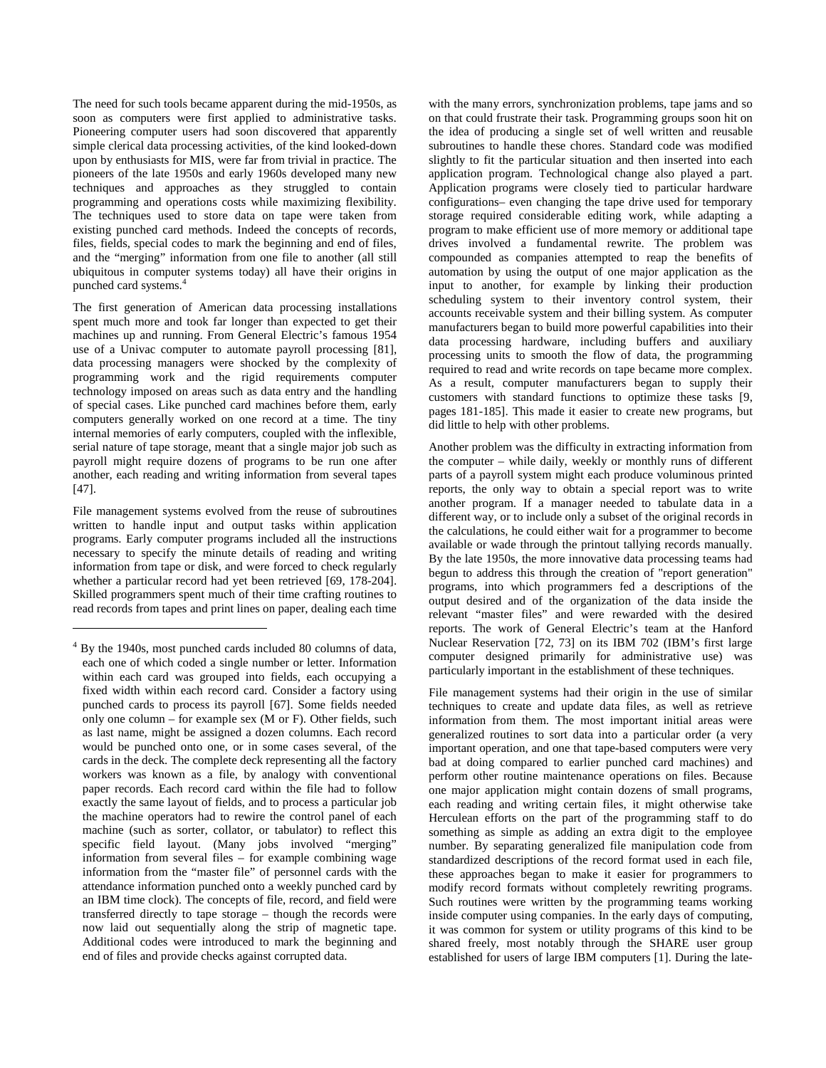The need for such tools became apparent during the mid-1950s, as soon as computers were first applied to administrative tasks. Pioneering computer users had soon discovered that apparently simple clerical data processing activities, of the kind looked-down upon by enthusiasts for MIS, were far from trivial in practice. The pioneers of the late 1950s and early 1960s developed many new techniques and approaches as they struggled to contain programming and operations costs while maximizing flexibility. The techniques used to store data on tape were taken from existing punched card methods. Indeed the concepts of records, files, fields, special codes to mark the beginning and end of files, and the "merging" information from one file to another (all still ubiquitous in computer systems today) all have their origins in punched card systems. 4

The first generation of American data processing installations spent much more and took far longer than expected to get their machines up and running. From General Electric's famous 1954 use of a Univac computer to automate payroll processing [81], data processing managers were shocked by the complexity of programming work and the rigid requirements computer technology imposed on areas such as data entry and the handling of special cases. Like punched card machines before them, early computers generally worked on one record at a time. The tiny internal memories of early computers, coupled with the inflexible, serial nature of tape storage, meant that a single major job such as payroll might require dozens of programs to be run one after another, each reading and writing information from several tapes [47].

File management systems evolved from the reuse of subroutines written to handle input and output tasks within application programs. Early computer programs included all the instructions necessary to specify the minute details of reading and writing information from tape or disk, and were forced to check regularly whether a particular record had yet been retrieved [69, 178-204]. Skilled programmers spent much of their time crafting routines to read records from tapes and print lines on paper, dealing each time

with the many errors, synchronization problems, tape jams and so on that could frustrate their task. Programming groups soon hit on the idea of producing a single set of well written and reusable subroutines to handle these chores. Standard code was modified slightly to fit the particular situation and then inserted into each application program. Technological change also played a part. Application programs were closely tied to particular hardware configurations– even changing the tape drive used for temporary storage required considerable editing work, while adapting a program to make efficient use of more memory or additional tape drives involved a fundamental rewrite. The problem was compounded as companies attempted to reap the benefits of automation by using the output of one major application as the input to another, for example by linking their production scheduling system to their inventory control system, their accounts receivable system and their billing system. As computer manufacturers began to build more powerful capabilities into their data processing hardware, including buffers and auxiliary processing units to smooth the flow of data, the programming required to read and write records on tape became more complex. As a result, computer manufacturers began to supply their customers with standard functions to optimize these tasks [9, pages 181-185]. This made it easier to create new programs, but did little to help with other problems.

Another problem was the difficulty in extracting information from the computer – while daily, weekly or monthly runs of different parts of a payroll system might each produce voluminous printed reports, the only way to obtain a special report was to write another program. If a manager needed to tabulate data in a different way, or to include only a subset of the original records in the calculations, he could either wait for a programmer to become available or wade through the printout tallying records manually. By the late 1950s, the more innovative data processing teams had begun to address this through the creation of "report generation" programs, into which programmers fed a descriptions of the output desired and of the organization of the data inside the relevant "master files" and were rewarded with the desired reports. The work of General Electric's team at the Hanford Nuclear Reservation [72, 73] on its IBM 702 (IBM's first large computer designed primarily for administrative use) was particularly important in the establishment of these techniques.

File management systems had their origin in the use of similar techniques to create and update data files, as well as retrieve information from them. The most important initial areas were generalized routines to sort data into a particular order (a very important operation, and one that tape-based computers were very bad at doing compared to earlier punched card machines) and perform other routine maintenance operations on files. Because one major application might contain dozens of small programs, each reading and writing certain files, it might otherwise take Herculean efforts on the part of the programming staff to do something as simple as adding an extra digit to the employee number. By separating generalized file manipulation code from standardized descriptions of the record format used in each file, these approaches began to make it easier for programmers to modify record formats without completely rewriting programs. Such routines were written by the programming teams working inside computer using companies. In the early days of computing, it was common for system or utility programs of this kind to be shared freely, most notably through the SHARE user group established for users of large IBM computers [1]. During the late-

 $4$  By the 1940s, most punched cards included 80 columns of data. each one of which coded a single number or letter. Information within each card was grouped into fields, each occupying a fixed width within each record card. Consider a factory using punched cards to process its payroll [67]. Some fields needed only one column – for example sex (M or F). Other fields, such as last name, might be assigned a dozen columns. Each record would be punched onto one, or in some cases several, of the cards in the deck. The complete deck representing all the factory workers was known as a file, by analogy with conventional paper records. Each record card within the file had to follow exactly the same layout of fields, and to process a particular job the machine operators had to rewire the control panel of each machine (such as sorter, collator, or tabulator) to reflect this specific field layout. (Many jobs involved "merging" information from several files – for example combining wage information from the "master file" of personnel cards with the attendance information punched onto a weekly punched card by an IBM time clock). The concepts of file, record, and field were transferred directly to tape storage – though the records were now laid out sequentially along the strip of magnetic tape. Additional codes were introduced to mark the beginning and end of files and provide checks against corrupted data.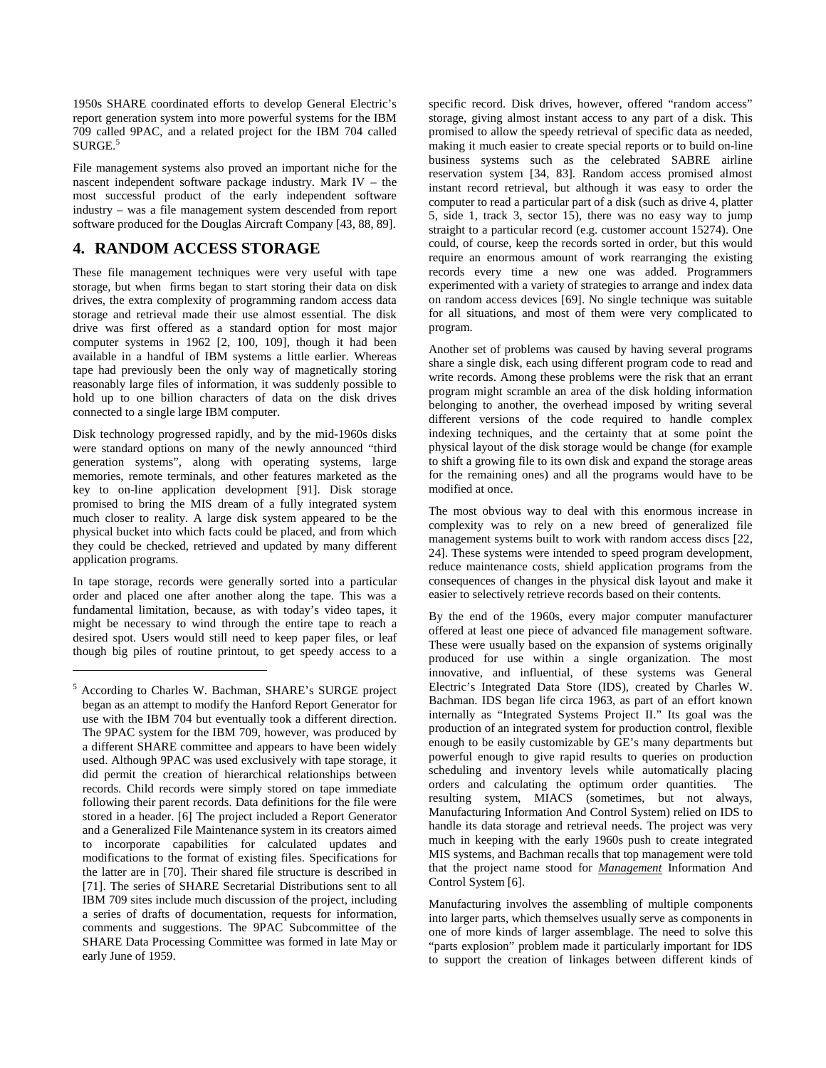1950s SHARE coordinated efforts to develop General Electric's report generation system into more powerful systems for the IBM 709 called 9PAC, and a related project for the IBM 704 called SURGE. 5

File management systems also proved an important niche for the nascent independent software package industry. Mark IV – the most successful product of the early independent software industry – was a file management system descended from report software produced for the Douglas Aircraft Company [43, 88, 89].

## **4. RANDOM ACCESS STORAGE**

These file management techniques were very useful with tape storage, but when firms began to start storing their data on disk drives, the extra complexity of programming random access data storage and retrieval made their use almost essential. The disk drive was first offered as a standard option for most major computer systems in 1962 [2, 100, 109], though it had been available in a handful of IBM systems a little earlier. Whereas tape had previously been the only way of magnetically storing reasonably large files of information, it was suddenly possible to hold up to one billion characters of data on the disk drives connected to a single large IBM computer.

Disk technology progressed rapidly, and by the mid-1960s disks were standard options on many of the newly announced "third generation systems", along with operating systems, large memories, remote terminals, and other features marketed as the key to on-line application development [91]. Disk storage promised to bring the MIS dream of a fully integrated system much closer to reality. A large disk system appeared to be the physical bucket into which facts could be placed, and from which they could be checked, retrieved and updated by many different application programs.

In tape storage, records were generally sorted into a particular order and placed one after another along the tape. This was a fundamental limitation, because, as with today's video tapes, it might be necessary to wind through the entire tape to reach a desired spot. Users would still need to keep paper files, or leaf though big piles of routine printout, to get speedy access to a

specific record. Disk drives, however, offered "random access" storage, giving almost instant access to any part of a disk. This promised to allow the speedy retrieval of specific data as needed, making it much easier to create special reports or to build on-line business systems such as the celebrated SABRE airline reservation system [34, 83]. Random access promised almost instant record retrieval, but although it was easy to order the computer to read a particular part of a disk (such as drive 4, platter 5, side 1, track 3, sector 15), there was no easy way to jump straight to a particular record (e.g. customer account 15274). One could, of course, keep the records sorted in order, but this would require an enormous amount of work rearranging the existing records every time a new one was added. Programmers experimented with a variety of strategies to arrange and index data on random access devices [69]. No single technique was suitable for all situations, and most of them were very complicated to program.

Another set of problems was caused by having several programs share a single disk, each using different program code to read and write records. Among these problems were the risk that an errant program might scramble an area of the disk holding information belonging to another, the overhead imposed by writing several different versions of the code required to handle complex indexing techniques, and the certainty that at some point the physical layout of the disk storage would be change (for example to shift a growing file to its own disk and expand the storage areas for the remaining ones) and all the programs would have to be modified at once.

The most obvious way to deal with this enormous increase in complexity was to rely on a new breed of generalized file management systems built to work with random access discs [22, 24]. These systems were intended to speed program development, reduce maintenance costs, shield application programs from the consequences of changes in the physical disk layout and make it easier to selectively retrieve records based on their contents.

By the end of the 1960s, every major computer manufacturer offered at least one piece of advanced file management software. These were usually based on the expansion of systems originally produced for use within a single organization. The most innovative, and influential, of these systems was General Electric's Integrated Data Store (IDS), created by Charles W. Bachman. IDS began life circa 1963, as part of an effort known internally as "Integrated Systems Project II." Its goal was the production of an integrated system for production control, flexible enough to be easily customizable by GE's many departments but powerful enough to give rapid results to queries on production scheduling and inventory levels while automatically placing orders and calculating the optimum order quantities. The resulting system, MIACS (sometimes, but not always, Manufacturing Information And Control System) relied on IDS to handle its data storage and retrieval needs. The project was very much in keeping with the early 1960s push to create integrated MIS systems, and Bachman recalls that top management were told that the project name stood for *Management* Information And Control System [6].

Manufacturing involves the assembling of multiple components into larger parts, which themselves usually serve as components in one of more kinds of larger assemblage. The need to solve this "parts explosion" problem made it particularly important for IDS to support the creation of linkages between different kinds of

<sup>5</sup> According to Charles W. Bachman, SHARE's SURGE project began as an attempt to modify the Hanford Report Generator for use with the IBM 704 but eventually took a different direction. The 9PAC system for the IBM 709, however, was produced by a different SHARE committee and appears to have been widely used. Although 9PAC was used exclusively with tape storage, it did permit the creation of hierarchical relationships between records. Child records were simply stored on tape immediate following their parent records. Data definitions for the file were stored in a header. [6] The project included a Report Generator and a Generalized File Maintenance system in its creators aimed to incorporate capabilities for calculated updates and modifications to the format of existing files. Specifications for the latter are in [70]. Their shared file structure is described in [71]. The series of SHARE Secretarial Distributions sent to all IBM 709 sites include much discussion of the project, including a series of drafts of documentation, requests for information, comments and suggestions. The 9PAC Subcommittee of the SHARE Data Processing Committee was formed in late May or early June of 1959.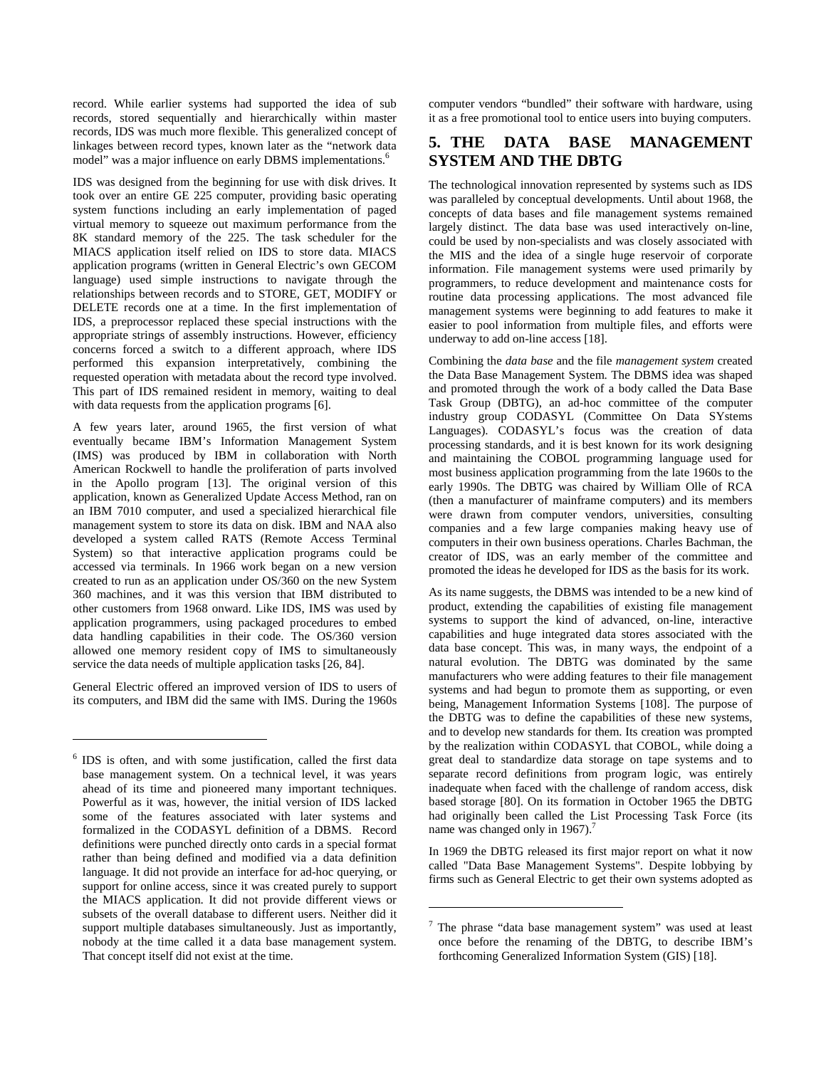record. While earlier systems had supported the idea of sub records, stored sequentially and hierarchically within master records, IDS was much more flexible. This generalized concept of linkages between record types, known later as the "network data model" was a major influence on early DBMS implementations. 6

IDS was designed from the beginning for use with disk drives. It took over an entire GE 225 computer, providing basic operating system functions including an early implementation of paged virtual memory to squeeze out maximum performance from the 8K standard memory of the 225. The task scheduler for the MIACS application itself relied on IDS to store data. MIACS application programs (written in General Electric's own GECOM language) used simple instructions to navigate through the relationships between records and to STORE, GET, MODIFY or DELETE records one at a time. In the first implementation of IDS, a preprocessor replaced these special instructions with the appropriate strings of assembly instructions. However, efficiency concerns forced a switch to a different approach, where IDS performed this expansion interpretatively, combining the requested operation with metadata about the record type involved. This part of IDS remained resident in memory, waiting to deal with data requests from the application programs [6].

A few years later, around 1965, the first version of what eventually became IBM's Information Management System (IMS) was produced by IBM in collaboration with North American Rockwell to handle the proliferation of parts involved in the Apollo program [13]. The original version of this application, known as Generalized Update Access Method, ran on an IBM 7010 computer, and used a specialized hierarchical file management system to store its data on disk. IBM and NAA also developed a system called RATS (Remote Access Terminal System) so that interactive application programs could be accessed via terminals. In 1966 work began on a new version created to run as an application under OS/360 on the new System 360 machines, and it was this version that IBM distributed to other customers from 1968 onward. Like IDS, IMS was used by application programmers, using packaged procedures to embed data handling capabilities in their code. The OS/360 version allowed one memory resident copy of IMS to simultaneously service the data needs of multiple application tasks [26, 84].

General Electric offered an improved version of IDS to users of its computers, and IBM did the same with IMS. During the 1960s

computer vendors "bundled" their software with hardware, using it as a free promotional tool to entice users into buying computers.

#### **5. THE DATA BASE MANAGEMENT SYSTEM AND THE DBTG**

The technological innovation represented by systems such as IDS was paralleled by conceptual developments. Until about 1968, the concepts of data bases and file management systems remained largely distinct. The data base was used interactively on-line, could be used by non-specialists and was closely associated with the MIS and the idea of a single huge reservoir of corporate information. File management systems were used primarily by programmers, to reduce development and maintenance costs for routine data processing applications. The most advanced file management systems were beginning to add features to make it easier to pool information from multiple files, and efforts were underway to add on-line access [18].

Combining the *data base* and the file *management system* created the Data Base Management System. The DBMS idea was shaped and promoted through the work of a body called the Data Base Task Group (DBTG), an ad-hoc committee of the computer industry group CODASYL (Committee On Data SYstems Languages). CODASYL's focus was the creation of data processing standards, and it is best known for its work designing and maintaining the COBOL programming language used for most business application programming from the late 1960s to the early 1990s. The DBTG was chaired by William Olle of RCA (then a manufacturer of mainframe computers) and its members were drawn from computer vendors, universities, consulting companies and a few large companies making heavy use of computers in their own business operations. Charles Bachman, the creator of IDS, was an early member of the committee and promoted the ideas he developed for IDS as the basis for its work.

As its name suggests, the DBMS was intended to be a new kind of product, extending the capabilities of existing file management systems to support the kind of advanced, on-line, interactive capabilities and huge integrated data stores associated with the data base concept. This was, in many ways, the endpoint of a natural evolution. The DBTG was dominated by the same manufacturers who were adding features to their file management systems and had begun to promote them as supporting, or even being, Management Information Systems [108]. The purpose of the DBTG was to define the capabilities of these new systems, and to develop new standards for them. Its creation was prompted by the realization within CODASYL that COBOL, while doing a great deal to standardize data storage on tape systems and to separate record definitions from program logic, was entirely inadequate when faced with the challenge of random access, disk based storage [80]. On its formation in October 1965 the DBTG had originally been called the List Processing Task Force (its name was changed only in 1967).<sup>7</sup>

In 1969 the DBTG released its first major report on what it now called "Data Base Management Systems". Despite lobbying by firms such as General Electric to get their own systems adopted as

<sup>&</sup>lt;sup>6</sup> IDS is often, and with some justification, called the first data base management system. On a technical level, it was years ahead of its time and pioneered many important techniques. Powerful as it was, however, the initial version of IDS lacked some of the features associated with later systems and formalized in the CODASYL definition of a DBMS. Record definitions were punched directly onto cards in a special format rather than being defined and modified via a data definition language. It did not provide an interface for ad-hoc querying, or support for online access, since it was created purely to support the MIACS application. It did not provide different views or subsets of the overall database to different users. Neither did it support multiple databases simultaneously. Just as importantly, nobody at the time called it a data base management system. That concept itself did not exist at the time.

 $7$  The phrase "data base management system" was used at least once before the renaming of the DBTG, to describe IBM's forthcoming Generalized Information System (GIS) [18].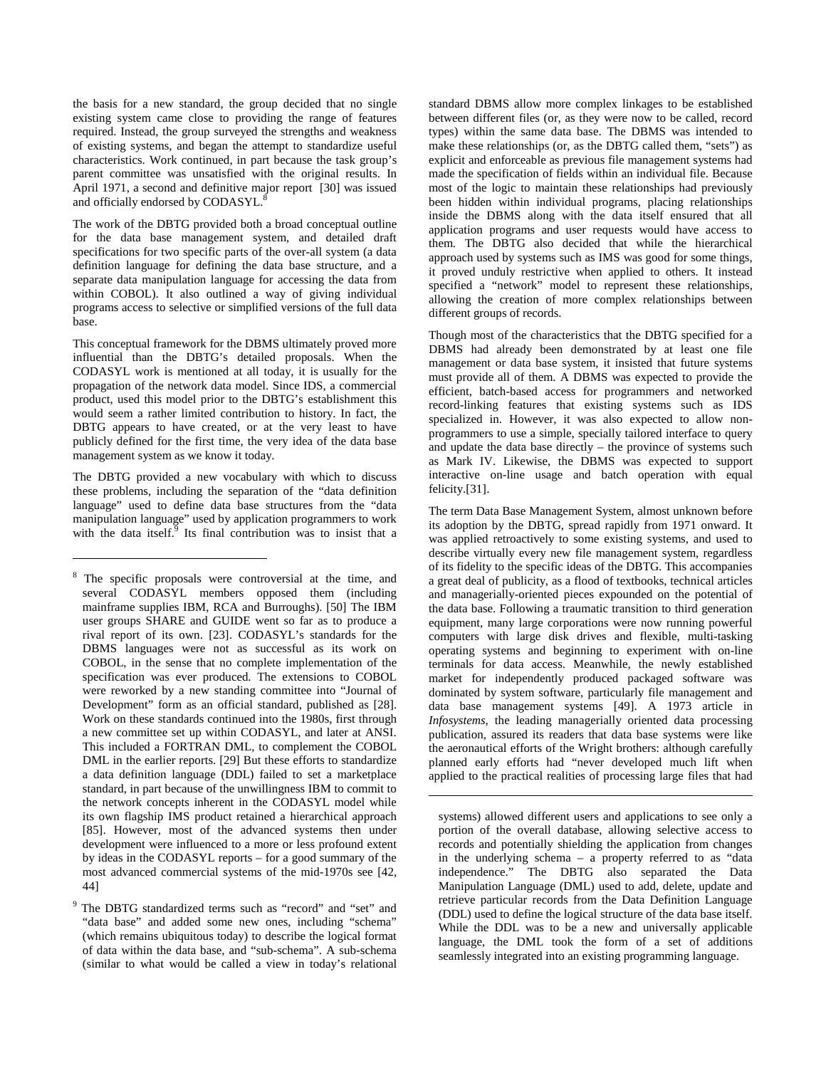the basis for a new standard, the group decided that no single existing system came close to providing the range of features required. Instead, the group surveyed the strengths and weakness of existing systems, and began the attempt to standardize useful characteristics. Work continued, in part because the task group's parent committee was unsatisfied with the original results. In April 1971, a second and definitive major report [30] was issued and officially endorsed by  $\text{CODASYL.}^8$ 

The work of the DBTG provided both a broad conceptual outline for the data base management system, and detailed draft specifications for two specific parts of the over-all system (a data definition language for defining the data base structure, and a separate data manipulation language for accessing the data from within COBOL). It also outlined a way of giving individual programs access to selective or simplified versions of the full data base.

This conceptual framework for the DBMS ultimately proved more influential than the DBTG's detailed proposals. When the CODASYL work is mentioned at all today, it is usually for the propagation of the network data model. Since IDS, a commercial product, used this model prior to the DBTG's establishment this would seem a rather limited contribution to history. In fact, the DBTG appears to have created, or at the very least to have publicly defined for the first time, the very idea of the data base management system as we know it today.

The DBTG provided a new vocabulary with which to discuss these problems, including the separation of the "data definition language" used to define data base structures from the "data manipulation language" used by application programmers to work with the data itself. $\overline{9}$  Its final contribution was to insist that a

standard DBMS allow more complex linkages to be established between different files (or, as they were now to be called, record types) within the same data base. The DBMS was intended to make these relationships (or, as the DBTG called them, "sets") as explicit and enforceable as previous file management systems had made the specification of fields within an individual file. Because most of the logic to maintain these relationships had previously been hidden within individual programs, placing relationships inside the DBMS along with the data itself ensured that all application programs and user requests would have access to them. The DBTG also decided that while the hierarchical approach used by systems such as IMS was good for some things, it proved unduly restrictive when applied to others. It instead specified a "network" model to represent these relationships, allowing the creation of more complex relationships between different groups of records.

Though most of the characteristics that the DBTG specified for a DBMS had already been demonstrated by at least one file management or data base system, it insisted that future systems must provide all of them. A DBMS was expected to provide the efficient, batch-based access for programmers and networked record-linking features that existing systems such as IDS specialized in. However, it was also expected to allow nonprogrammers to use a simple, specially tailored interface to query and update the data base directly – the province of systems such as Mark IV. Likewise, the DBMS was expected to support interactive on-line usage and batch operation with equal felicity.[31].

The term Data Base Management System, almost unknown before its adoption by the DBTG, spread rapidly from 1971 onward. It was applied retroactively to some existing systems, and used to describe virtually every new file management system, regardless of its fidelity to the specific ideas of the DBTG. This accompanies a great deal of publicity, as a flood of textbooks, technical articles and managerially-oriented pieces expounded on the potential of the data base. Following a traumatic transition to third generation equipment, many large corporations were now running powerful computers with large disk drives and flexible, multi-tasking operating systems and beginning to experiment with on-line terminals for data access. Meanwhile, the newly established market for independently produced packaged software was dominated by system software, particularly file management and data base management systems [49]. A 1973 article in *Infosystems*, the leading managerially oriented data processing publication, assured its readers that data base systems were like the aeronautical efforts of the Wright brothers: although carefully planned early efforts had "never developed much lift when applied to the practical realities of processing large files that had

systems) allowed different users and applications to see only a portion of the overall database, allowing selective access to records and potentially shielding the application from changes in the underlying schema – a property referred to as "data independence." The DBTG also separated the Data Manipulation Language (DML) used to add, delete, update and retrieve particular records from the Data Definition Language (DDL) used to define the logical structure of the data base itself. While the DDL was to be a new and universally applicable language, the DML took the form of a set of additions seamlessly integrated into an existing programming language.

The specific proposals were controversial at the time, and several CODASYL members opposed them (including mainframe supplies IBM, RCA and Burroughs). [50] The IBM user groups SHARE and GUIDE went so far as to produce a rival report of its own. [23]. CODASYL's standards for the DBMS languages were not as successful as its work on COBOL, in the sense that no complete implementation of the specification was ever produced. The extensions to COBOL were reworked by a new standing committee into "Journal of Development" form as an official standard, published as [28]. Work on these standards continued into the 1980s, first through a new committee set up within CODASYL, and later at ANSI. This included a FORTRAN DML, to complement the COBOL DML in the earlier reports. [29] But these efforts to standardize a data definition language (DDL) failed to set a marketplace standard, in part because of the unwillingness IBM to commit to the network concepts inherent in the CODASYL model while its own flagship IMS product retained a hierarchical approach [85]. However, most of the advanced systems then under development were influenced to a more or less profound extent by ideas in the CODASYL reports – for a good summary of the most advanced commercial systems of the mid-1970s see [42, 44]

The DBTG standardized terms such as "record" and "set" and "data base" and added some new ones, including "schema" (which remains ubiquitous today) to describe the logical format of data within the data base, and "sub-schema". A sub-schema (similar to what would be called a view in today's relational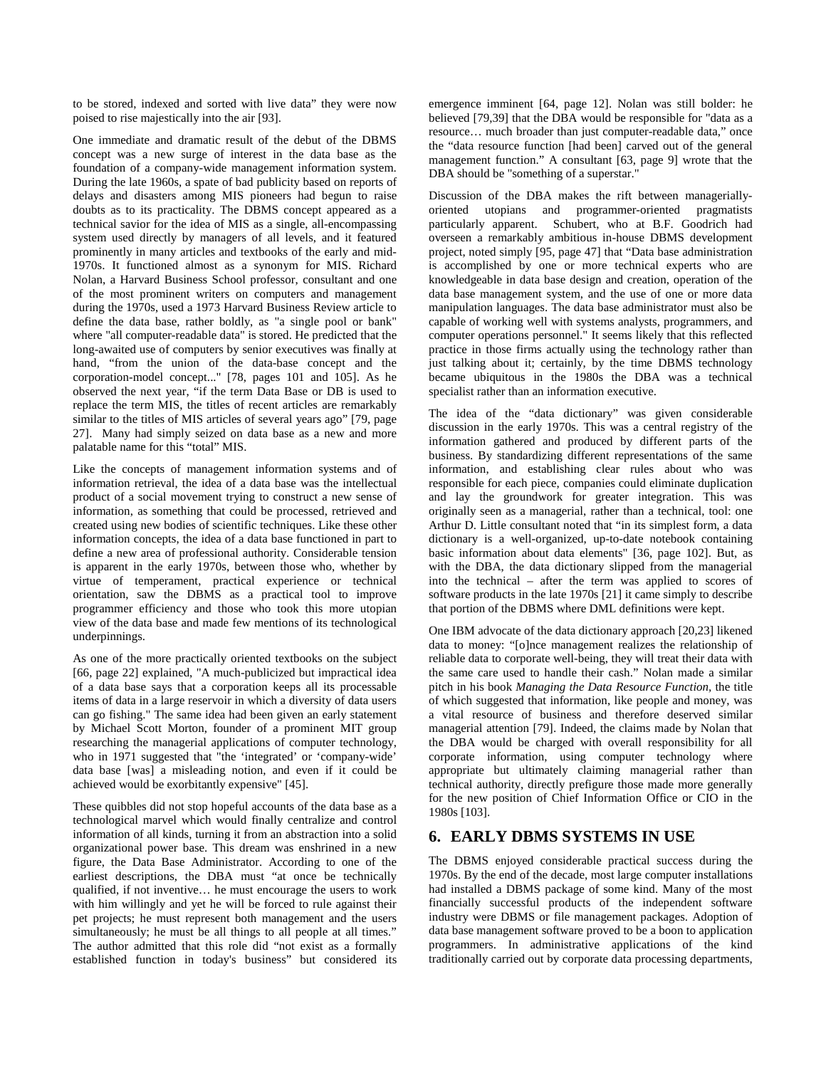to be stored, indexed and sorted with live data" they were now poised to rise majestically into the air [93].

One immediate and dramatic result of the debut of the DBMS concept was a new surge of interest in the data base as the foundation of a company-wide management information system. During the late 1960s, a spate of bad publicity based on reports of delays and disasters among MIS pioneers had begun to raise doubts as to its practicality. The DBMS concept appeared as a technical savior for the idea of MIS as a single, all-encompassing system used directly by managers of all levels, and it featured prominently in many articles and textbooks of the early and mid-1970s. It functioned almost as a synonym for MIS. Richard Nolan, a Harvard Business School professor, consultant and one of the most prominent writers on computers and management during the 1970s, used a 1973 Harvard Business Review article to define the data base, rather boldly, as "a single pool or bank" where "all computer-readable data" is stored. He predicted that the long-awaited use of computers by senior executives was finally at hand, "from the union of the data-base concept and the corporation-model concept..." [78, pages 101 and 105]. As he observed the next year, "if the term Data Base or DB is used to replace the term MIS, the titles of recent articles are remarkably similar to the titles of MIS articles of several years ago" [79, page 27]. Many had simply seized on data base as a new and more palatable name for this "total" MIS.

Like the concepts of management information systems and of information retrieval, the idea of a data base was the intellectual product of a social movement trying to construct a new sense of information, as something that could be processed, retrieved and created using new bodies of scientific techniques. Like these other information concepts, the idea of a data base functioned in part to define a new area of professional authority. Considerable tension is apparent in the early 1970s, between those who, whether by virtue of temperament, practical experience or technical orientation, saw the DBMS as a practical tool to improve programmer efficiency and those who took this more utopian view of the data base and made few mentions of its technological underpinnings.

As one of the more practically oriented textbooks on the subject [66, page 22] explained, "A much-publicized but impractical idea of a data base says that a corporation keeps all its processable items of data in a large reservoir in which a diversity of data users can go fishing." The same idea had been given an early statement by Michael Scott Morton, founder of a prominent MIT group researching the managerial applications of computer technology, who in 1971 suggested that "the 'integrated' or 'company-wide' data base [was] a misleading notion, and even if it could be achieved would be exorbitantly expensive" [45].

These quibbles did not stop hopeful accounts of the data base as a technological marvel which would finally centralize and control information of all kinds, turning it from an abstraction into a solid organizational power base. This dream was enshrined in a new figure, the Data Base Administrator. According to one of the earliest descriptions, the DBA must "at once be technically qualified, if not inventive… he must encourage the users to work with him willingly and yet he will be forced to rule against their pet projects; he must represent both management and the users simultaneously; he must be all things to all people at all times." The author admitted that this role did "not exist as a formally established function in today's business" but considered its emergence imminent [64, page 12]. Nolan was still bolder: he believed [79,39] that the DBA would be responsible for "data as a resource… much broader than just computer-readable data," once the "data resource function [had been] carved out of the general management function." A consultant [63, page 9] wrote that the DBA should be "something of a superstar."

Discussion of the DBA makes the rift between manageriallyoriented utopians and programmer-oriented pragmatists particularly apparent. Schubert, who at B.F. Goodrich had overseen a remarkably ambitious in-house DBMS development project, noted simply [95, page 47] that "Data base administration is accomplished by one or more technical experts who are knowledgeable in data base design and creation, operation of the data base management system, and the use of one or more data manipulation languages. The data base administrator must also be capable of working well with systems analysts, programmers, and computer operations personnel." It seems likely that this reflected practice in those firms actually using the technology rather than just talking about it; certainly, by the time DBMS technology became ubiquitous in the 1980s the DBA was a technical specialist rather than an information executive.

The idea of the "data dictionary" was given considerable discussion in the early 1970s. This was a central registry of the information gathered and produced by different parts of the business. By standardizing different representations of the same information, and establishing clear rules about who was responsible for each piece, companies could eliminate duplication and lay the groundwork for greater integration. This was originally seen as a managerial, rather than a technical, tool: one Arthur D. Little consultant noted that "in its simplest form, a data dictionary is a well-organized, up-to-date notebook containing basic information about data elements" [36, page 102]. But, as with the DBA, the data dictionary slipped from the managerial into the technical – after the term was applied to scores of software products in the late 1970s [21] it came simply to describe that portion of the DBMS where DML definitions were kept.

One IBM advocate of the data dictionary approach [20,23] likened data to money: "[o]nce management realizes the relationship of reliable data to corporate well-being, they will treat their data with the same care used to handle their cash." Nolan made a similar pitch in his book *Managing the Data Resource Function,* the title of which suggested that information, like people and money, was a vital resource of business and therefore deserved similar managerial attention [79]. Indeed, the claims made by Nolan that the DBA would be charged with overall responsibility for all corporate information, using computer technology where appropriate but ultimately claiming managerial rather than technical authority, directly prefigure those made more generally for the new position of Chief Information Office or CIO in the 1980s [103].

#### **6. EARLY DBMS SYSTEMS IN USE**

The DBMS enjoyed considerable practical success during the 1970s. By the end of the decade, most large computer installations had installed a DBMS package of some kind. Many of the most financially successful products of the independent software industry were DBMS or file management packages. Adoption of data base management software proved to be a boon to application programmers. In administrative applications of the kind traditionally carried out by corporate data processing departments,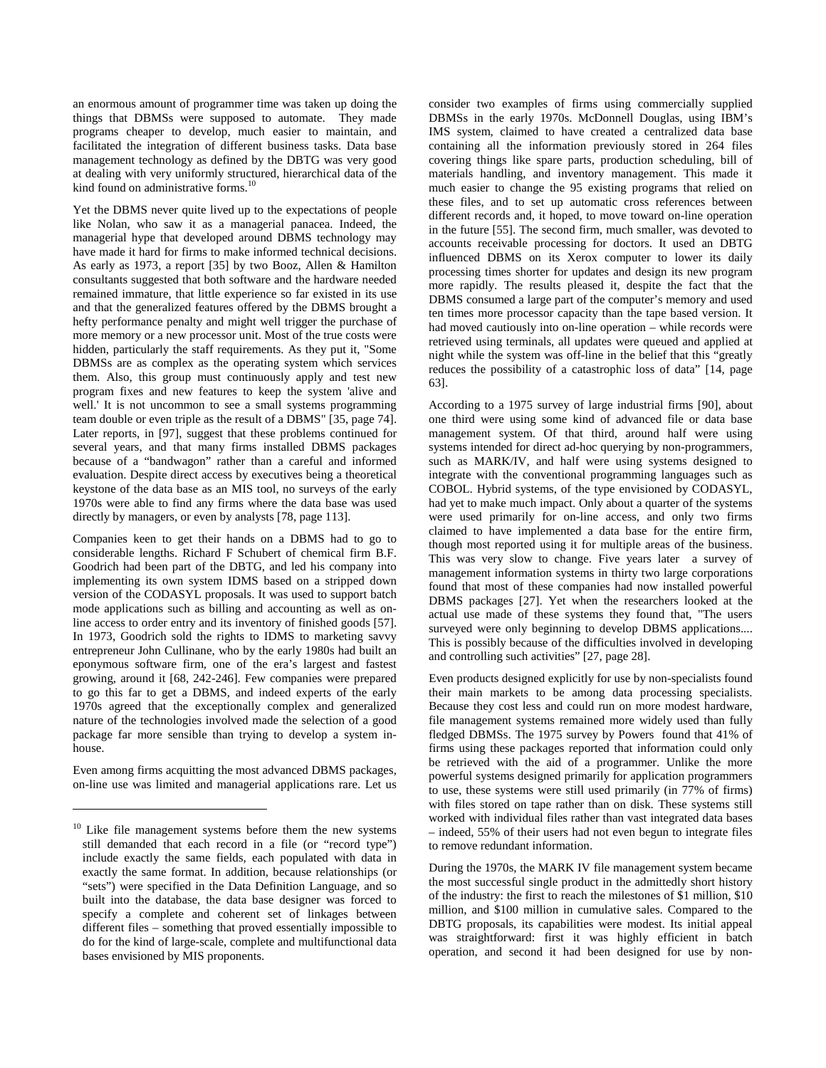an enormous amount of programmer time was taken up doing the things that DBMSs were supposed to automate. They made programs cheaper to develop, much easier to maintain, and facilitated the integration of different business tasks. Data base management technology as defined by the DBTG was very good at dealing with very uniformly structured, hierarchical data of the kind found on administrative forms. 10

Yet the DBMS never quite lived up to the expectations of people like Nolan, who saw it as a managerial panacea. Indeed, the managerial hype that developed around DBMS technology may have made it hard for firms to make informed technical decisions. As early as 1973, a report [35] by two Booz, Allen & Hamilton consultants suggested that both software and the hardware needed remained immature, that little experience so far existed in its use and that the generalized features offered by the DBMS brought a hefty performance penalty and might well trigger the purchase of more memory or a new processor unit. Most of the true costs were hidden, particularly the staff requirements. As they put it, "Some DBMSs are as complex as the operating system which services them. Also, this group must continuously apply and test new program fixes and new features to keep the system 'alive and well.' It is not uncommon to see a small systems programming team double or even triple as the result of a DBMS" [35, page 74]. Later reports, in [97], suggest that these problems continued for several years, and that many firms installed DBMS packages because of a "bandwagon" rather than a careful and informed evaluation. Despite direct access by executives being a theoretical keystone of the data base as an MIS tool, no surveys of the early 1970s were able to find any firms where the data base was used directly by managers, or even by analysts [78, page 113].

Companies keen to get their hands on a DBMS had to go to considerable lengths. Richard F Schubert of chemical firm B.F. Goodrich had been part of the DBTG, and led his company into implementing its own system IDMS based on a stripped down version of the CODASYL proposals. It was used to support batch mode applications such as billing and accounting as well as online access to order entry and its inventory of finished goods [57]. In 1973, Goodrich sold the rights to IDMS to marketing savvy entrepreneur John Cullinane, who by the early 1980s had built an eponymous software firm, one of the era's largest and fastest growing, around it [68, 242-246]. Few companies were prepared to go this far to get a DBMS, and indeed experts of the early 1970s agreed that the exceptionally complex and generalized nature of the technologies involved made the selection of a good package far more sensible than trying to develop a system inhouse.

Even among firms acquitting the most advanced DBMS packages, on-line use was limited and managerial applications rare. Let us

consider two examples of firms using commercially supplied DBMSs in the early 1970s. McDonnell Douglas, using IBM's IMS system, claimed to have created a centralized data base containing all the information previously stored in 264 files covering things like spare parts, production scheduling, bill of materials handling, and inventory management. This made it much easier to change the 95 existing programs that relied on these files, and to set up automatic cross references between different records and, it hoped, to move toward on-line operation in the future [55]. The second firm, much smaller, was devoted to accounts receivable processing for doctors. It used an DBTG influenced DBMS on its Xerox computer to lower its daily processing times shorter for updates and design its new program more rapidly. The results pleased it, despite the fact that the DBMS consumed a large part of the computer's memory and used ten times more processor capacity than the tape based version. It had moved cautiously into on-line operation – while records were retrieved using terminals, all updates were queued and applied at night while the system was off-line in the belief that this "greatly reduces the possibility of a catastrophic loss of data" [14, page 63].

According to a 1975 survey of large industrial firms [90], about one third were using some kind of advanced file or data base management system. Of that third, around half were using systems intended for direct ad-hoc querying by non-programmers, such as MARK/IV, and half were using systems designed to integrate with the conventional programming languages such as COBOL. Hybrid systems, of the type envisioned by CODASYL, had yet to make much impact. Only about a quarter of the systems were used primarily for on-line access, and only two firms claimed to have implemented a data base for the entire firm, though most reported using it for multiple areas of the business. This was very slow to change. Five years later a survey of management information systems in thirty two large corporations found that most of these companies had now installed powerful DBMS packages [27]. Yet when the researchers looked at the actual use made of these systems they found that, "The users surveyed were only beginning to develop DBMS applications.... This is possibly because of the difficulties involved in developing and controlling such activities" [27, page 28].

Even products designed explicitly for use by non-specialists found their main markets to be among data processing specialists. Because they cost less and could run on more modest hardware, file management systems remained more widely used than fully fledged DBMSs. The 1975 survey by Powers found that 41% of firms using these packages reported that information could only be retrieved with the aid of a programmer. Unlike the more powerful systems designed primarily for application programmers to use, these systems were still used primarily (in 77% of firms) with files stored on tape rather than on disk. These systems still worked with individual files rather than vast integrated data bases – indeed, 55% of their users had not even begun to integrate files to remove redundant information.

During the 1970s, the MARK IV file management system became the most successful single product in the admittedly short history of the industry: the first to reach the milestones of \$1 million, \$10 million, and \$100 million in cumulative sales. Compared to the DBTG proposals, its capabilities were modest. Its initial appeal was straightforward: first it was highly efficient in batch operation, and second it had been designed for use by non-

 $10$  Like file management systems before them the new systems still demanded that each record in a file (or "record type") include exactly the same fields, each populated with data in exactly the same format. In addition, because relationships (or "sets") were specified in the Data Definition Language, and so built into the database, the data base designer was forced to specify a complete and coherent set of linkages between different files – something that proved essentially impossible to do for the kind of large-scale, complete and multifunctional data bases envisioned by MIS proponents.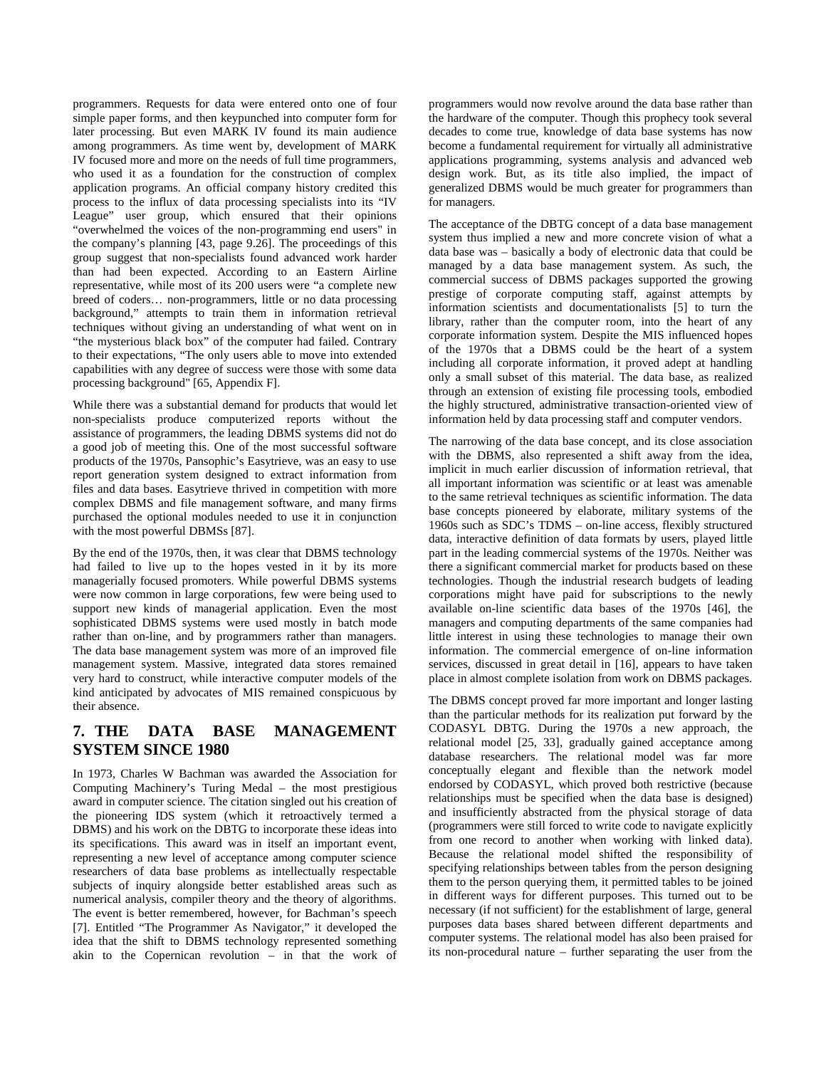programmers. Requests for data were entered onto one of four simple paper forms, and then keypunched into computer form for later processing. But even MARK IV found its main audience among programmers. As time went by, development of MARK IV focused more and more on the needs of full time programmers, who used it as a foundation for the construction of complex application programs. An official company history credited this process to the influx of data processing specialists into its "IV League" user group, which ensured that their opinions "overwhelmed the voices of the non-programming end users" in the company's planning [43, page 9.26]. The proceedings of this group suggest that non-specialists found advanced work harder than had been expected. According to an Eastern Airline representative, while most of its 200 users were "a complete new breed of coders… non-programmers, little or no data processing background," attempts to train them in information retrieval techniques without giving an understanding of what went on in "the mysterious black box" of the computer had failed. Contrary to their expectations, "The only users able to move into extended capabilities with any degree of success were those with some data processing background" [65, Appendix F].

While there was a substantial demand for products that would let non-specialists produce computerized reports without the assistance of programmers, the leading DBMS systems did not do a good job of meeting this. One of the most successful software products of the 1970s, Pansophic's Easytrieve, was an easy to use report generation system designed to extract information from files and data bases. Easytrieve thrived in competition with more complex DBMS and file management software, and many firms purchased the optional modules needed to use it in conjunction with the most powerful DBMSs [87].

By the end of the 1970s, then, it was clear that DBMS technology had failed to live up to the hopes vested in it by its more managerially focused promoters. While powerful DBMS systems were now common in large corporations, few were being used to support new kinds of managerial application. Even the most sophisticated DBMS systems were used mostly in batch mode rather than on-line, and by programmers rather than managers. The data base management system was more of an improved file management system. Massive, integrated data stores remained very hard to construct, while interactive computer models of the kind anticipated by advocates of MIS remained conspicuous by their absence.

#### **7. THE DATA BASE MANAGEMENT SYSTEM SINCE 1980**

In 1973, Charles W Bachman was awarded the Association for Computing Machinery's Turing Medal – the most prestigious award in computer science. The citation singled out his creation of the pioneering IDS system (which it retroactively termed a DBMS) and his work on the DBTG to incorporate these ideas into its specifications. This award was in itself an important event, representing a new level of acceptance among computer science researchers of data base problems as intellectually respectable subjects of inquiry alongside better established areas such as numerical analysis, compiler theory and the theory of algorithms. The event is better remembered, however, for Bachman's speech [7]. Entitled "The Programmer As Navigator," it developed the idea that the shift to DBMS technology represented something akin to the Copernican revolution – in that the work of

programmers would now revolve around the data base rather than the hardware of the computer. Though this prophecy took several decades to come true, knowledge of data base systems has now become a fundamental requirement for virtually all administrative applications programming, systems analysis and advanced web design work. But, as its title also implied, the impact of generalized DBMS would be much greater for programmers than for managers.

The acceptance of the DBTG concept of a data base management system thus implied a new and more concrete vision of what a data base was – basically a body of electronic data that could be managed by a data base management system. As such, the commercial success of DBMS packages supported the growing prestige of corporate computing staff, against attempts by information scientists and documentationalists [5] to turn the library, rather than the computer room, into the heart of any corporate information system. Despite the MIS influenced hopes of the 1970s that a DBMS could be the heart of a system including all corporate information, it proved adept at handling only a small subset of this material. The data base, as realized through an extension of existing file processing tools, embodied the highly structured, administrative transaction-oriented view of information held by data processing staff and computer vendors.

The narrowing of the data base concept, and its close association with the DBMS, also represented a shift away from the idea, implicit in much earlier discussion of information retrieval, that all important information was scientific or at least was amenable to the same retrieval techniques as scientific information. The data base concepts pioneered by elaborate, military systems of the 1960s such as SDC's TDMS – on-line access, flexibly structured data, interactive definition of data formats by users, played little part in the leading commercial systems of the 1970s. Neither was there a significant commercial market for products based on these technologies. Though the industrial research budgets of leading corporations might have paid for subscriptions to the newly available on-line scientific data bases of the 1970s [46], the managers and computing departments of the same companies had little interest in using these technologies to manage their own information. The commercial emergence of on-line information services, discussed in great detail in [16], appears to have taken place in almost complete isolation from work on DBMS packages.

The DBMS concept proved far more important and longer lasting than the particular methods for its realization put forward by the CODASYL DBTG. During the 1970s a new approach, the relational model [25, 33], gradually gained acceptance among database researchers. The relational model was far more conceptually elegant and flexible than the network model endorsed by CODASYL, which proved both restrictive (because relationships must be specified when the data base is designed) and insufficiently abstracted from the physical storage of data (programmers were still forced to write code to navigate explicitly from one record to another when working with linked data). Because the relational model shifted the responsibility of specifying relationships between tables from the person designing them to the person querying them, it permitted tables to be joined in different ways for different purposes. This turned out to be necessary (if not sufficient) for the establishment of large, general purposes data bases shared between different departments and computer systems. The relational model has also been praised for its non-procedural nature – further separating the user from the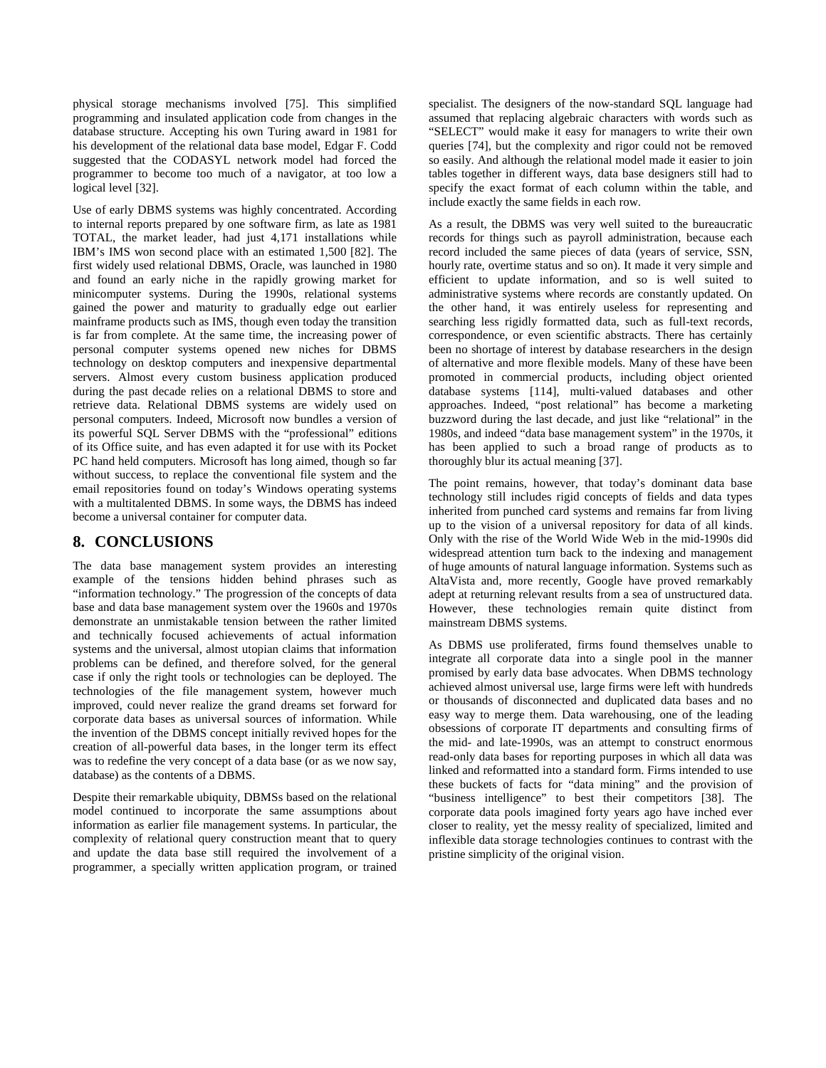physical storage mechanisms involved [75]. This simplified programming and insulated application code from changes in the database structure. Accepting his own Turing award in 1981 for his development of the relational data base model, Edgar F. Codd suggested that the CODASYL network model had forced the programmer to become too much of a navigator, at too low a logical level [32].

Use of early DBMS systems was highly concentrated. According to internal reports prepared by one software firm, as late as 1981 TOTAL, the market leader, had just 4,171 installations while IBM's IMS won second place with an estimated 1,500 [82]. The first widely used relational DBMS, Oracle, was launched in 1980 and found an early niche in the rapidly growing market for minicomputer systems. During the 1990s, relational systems gained the power and maturity to gradually edge out earlier mainframe products such as IMS, though even today the transition is far from complete. At the same time, the increasing power of personal computer systems opened new niches for DBMS technology on desktop computers and inexpensive departmental servers. Almost every custom business application produced during the past decade relies on a relational DBMS to store and retrieve data. Relational DBMS systems are widely used on personal computers. Indeed, Microsoft now bundles a version of its powerful SQL Server DBMS with the "professional" editions of its Office suite, and has even adapted it for use with its Pocket PC hand held computers. Microsoft has long aimed, though so far without success, to replace the conventional file system and the email repositories found on today's Windows operating systems with a multitalented DBMS. In some ways, the DBMS has indeed become a universal container for computer data.

#### **8. CONCLUSIONS**

The data base management system provides an interesting example of the tensions hidden behind phrases such as "information technology." The progression of the concepts of data base and data base management system over the 1960s and 1970s demonstrate an unmistakable tension between the rather limited and technically focused achievements of actual information systems and the universal, almost utopian claims that information problems can be defined, and therefore solved, for the general case if only the right tools or technologies can be deployed. The technologies of the file management system, however much improved, could never realize the grand dreams set forward for corporate data bases as universal sources of information. While the invention of the DBMS concept initially revived hopes for the creation of all-powerful data bases, in the longer term its effect was to redefine the very concept of a data base (or as we now say, database) as the contents of a DBMS.

Despite their remarkable ubiquity, DBMSs based on the relational model continued to incorporate the same assumptions about information as earlier file management systems. In particular, the complexity of relational query construction meant that to query and update the data base still required the involvement of a programmer, a specially written application program, or trained

specialist. The designers of the now-standard SQL language had assumed that replacing algebraic characters with words such as "SELECT" would make it easy for managers to write their own queries [74], but the complexity and rigor could not be removed so easily. And although the relational model made it easier to join tables together in different ways, data base designers still had to specify the exact format of each column within the table, and include exactly the same fields in each row.

As a result, the DBMS was very well suited to the bureaucratic records for things such as payroll administration, because each record included the same pieces of data (years of service, SSN, hourly rate, overtime status and so on). It made it very simple and efficient to update information, and so is well suited to administrative systems where records are constantly updated. On the other hand, it was entirely useless for representing and searching less rigidly formatted data, such as full-text records, correspondence, or even scientific abstracts. There has certainly been no shortage of interest by database researchers in the design of alternative and more flexible models. Many of these have been promoted in commercial products, including object oriented database systems [114], multi-valued databases and other approaches. Indeed, "post relational" has become a marketing buzzword during the last decade, and just like "relational" in the 1980s, and indeed "data base management system" in the 1970s, it has been applied to such a broad range of products as to thoroughly blur its actual meaning [37].

The point remains, however, that today's dominant data base technology still includes rigid concepts of fields and data types inherited from punched card systems and remains far from living up to the vision of a universal repository for data of all kinds. Only with the rise of the World Wide Web in the mid-1990s did widespread attention turn back to the indexing and management of huge amounts of natural language information. Systems such as AltaVista and, more recently, Google have proved remarkably adept at returning relevant results from a sea of unstructured data. However, these technologies remain quite distinct from mainstream DBMS systems.

As DBMS use proliferated, firms found themselves unable to integrate all corporate data into a single pool in the manner promised by early data base advocates. When DBMS technology achieved almost universal use, large firms were left with hundreds or thousands of disconnected and duplicated data bases and no easy way to merge them. Data warehousing, one of the leading obsessions of corporate IT departments and consulting firms of the mid- and late-1990s, was an attempt to construct enormous read-only data bases for reporting purposes in which all data was linked and reformatted into a standard form. Firms intended to use these buckets of facts for "data mining" and the provision of "business intelligence" to best their competitors [38]. The corporate data pools imagined forty years ago have inched ever closer to reality, yet the messy reality of specialized, limited and inflexible data storage technologies continues to contrast with the pristine simplicity of the original vision.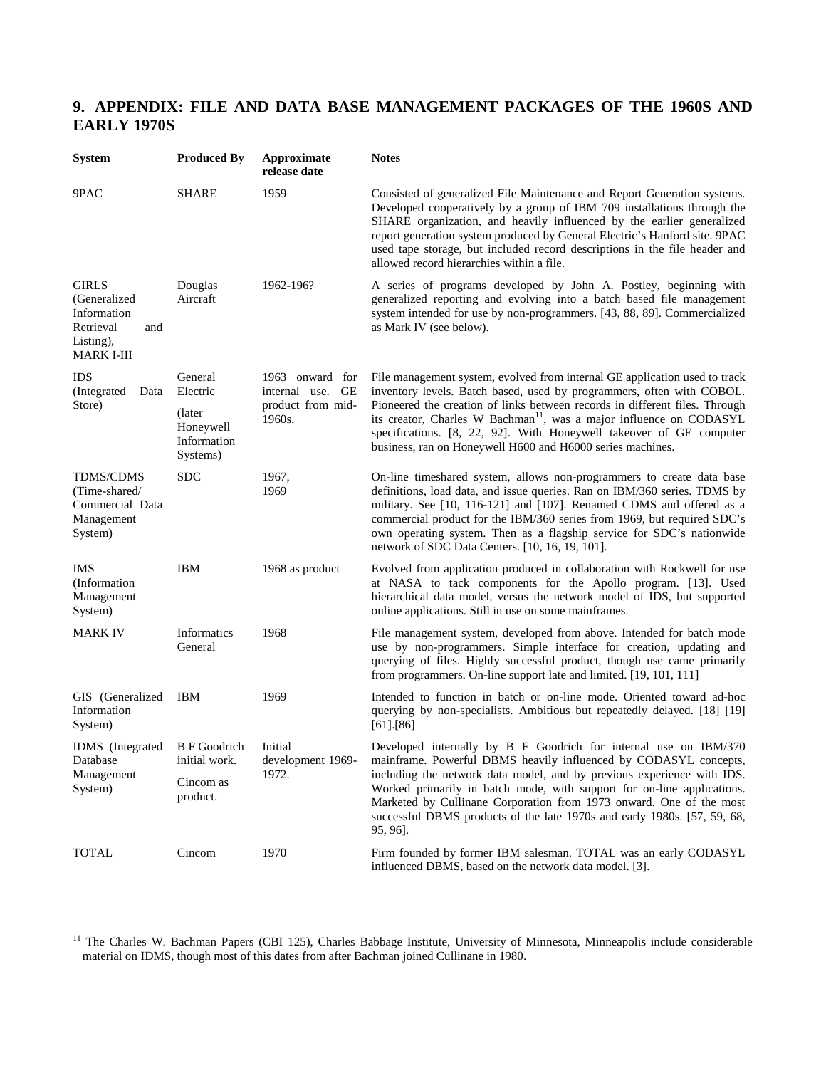# **9. APPENDIX: FILE AND DATA BASE MANAGEMENT PACKAGES OF THE 1960S AND EARLY 1970S**

| <b>System</b>                                                                                     | <b>Produced By</b>                              | Approximate<br>release date           | <b>Notes</b>                                                                                                                                                                                                                                                                                                                                                                                                                                           |
|---------------------------------------------------------------------------------------------------|-------------------------------------------------|---------------------------------------|--------------------------------------------------------------------------------------------------------------------------------------------------------------------------------------------------------------------------------------------------------------------------------------------------------------------------------------------------------------------------------------------------------------------------------------------------------|
| 9PAC                                                                                              | <b>SHARE</b>                                    | 1959                                  | Consisted of generalized File Maintenance and Report Generation systems.<br>Developed cooperatively by a group of IBM 709 installations through the<br>SHARE organization, and heavily influenced by the earlier generalized<br>report generation system produced by General Electric's Hanford site. 9PAC<br>used tape storage, but included record descriptions in the file header and<br>allowed record hierarchies within a file.                  |
| <b>GIRLS</b><br>(Generalized<br>Information<br>Retrieval<br>and<br>Listing),<br><b>MARK I-III</b> | Douglas<br>Aircraft                             | 1962-196?                             | A series of programs developed by John A. Postley, beginning with<br>generalized reporting and evolving into a batch based file management<br>system intended for use by non-programmers. [43, 88, 89]. Commercialized<br>as Mark IV (see below).                                                                                                                                                                                                      |
| IDS<br>(Integrated<br>Data<br>Store)                                                              | General<br>Electric                             | 1963 onward for<br>internal use. GE   | File management system, evolved from internal GE application used to track<br>inventory levels. Batch based, used by programmers, often with COBOL.                                                                                                                                                                                                                                                                                                    |
|                                                                                                   | (later)<br>Honeywell<br>Information<br>Systems) | product from mid-<br>1960s.           | Pioneered the creation of links between records in different files. Through<br>its creator, Charles W Bachman <sup>11</sup> , was a major influence on CODASYL<br>specifications. [8, 22, 92]. With Honeywell takeover of GE computer<br>business, ran on Honeywell H600 and H6000 series machines.                                                                                                                                                    |
| TDMS/CDMS<br>(Time-shared/<br>Commercial Data<br>Management<br>System)                            | <b>SDC</b>                                      | 1967,<br>1969                         | On-line timeshared system, allows non-programmers to create data base<br>definitions, load data, and issue queries. Ran on IBM/360 series. TDMS by<br>military. See [10, 116-121] and [107]. Renamed CDMS and offered as a<br>commercial product for the IBM/360 series from 1969, but required SDC's<br>own operating system. Then as a flagship service for SDC's nationwide<br>network of SDC Data Centers. [10, 16, 19, 101].                      |
| IMS<br>(Information)<br>Management<br>System)                                                     | <b>IBM</b>                                      | 1968 as product                       | Evolved from application produced in collaboration with Rockwell for use<br>at NASA to tack components for the Apollo program. [13]. Used<br>hierarchical data model, versus the network model of IDS, but supported<br>online applications. Still in use on some mainframes.                                                                                                                                                                          |
| MARK IV                                                                                           | Informatics<br>General                          | 1968                                  | File management system, developed from above. Intended for batch mode<br>use by non-programmers. Simple interface for creation, updating and<br>querying of files. Highly successful product, though use came primarily<br>from programmers. On-line support late and limited. [19, 101, 111]                                                                                                                                                          |
| GIS (Generalized<br>Information<br>System)                                                        | <b>IBM</b>                                      | 1969                                  | Intended to function in batch or on-line mode. Oriented toward ad-hoc<br>querying by non-specialists. Ambitious but repeatedly delayed. [18] [19]<br>$[61]$ .[86]                                                                                                                                                                                                                                                                                      |
| <b>IDMS</b> (Integrated<br>Database<br>Management<br>System)                                      | <b>B</b> F Goodrich<br>initial work.            | Initial<br>development 1969-<br>1972. | Developed internally by B F Goodrich for internal use on IBM/370<br>mainframe. Powerful DBMS heavily influenced by CODASYL concepts,<br>including the network data model, and by previous experience with IDS.<br>Worked primarily in batch mode, with support for on-line applications.<br>Marketed by Cullinane Corporation from 1973 onward. One of the most<br>successful DBMS products of the late 1970s and early 1980s. [57, 59, 68,<br>95, 96. |
|                                                                                                   | Cincom as<br>product.                           |                                       |                                                                                                                                                                                                                                                                                                                                                                                                                                                        |
| <b>TOTAL</b>                                                                                      | Cincom                                          | 1970                                  | Firm founded by former IBM salesman. TOTAL was an early CODASYL<br>influenced DBMS, based on the network data model. [3].                                                                                                                                                                                                                                                                                                                              |

<sup>&</sup>lt;sup>11</sup> The Charles W. Bachman Papers (CBI 125), Charles Babbage Institute, University of Minnesota, Minneapolis include considerable material on IDMS, though most of this dates from after Bachman joined Cullinane in 1980.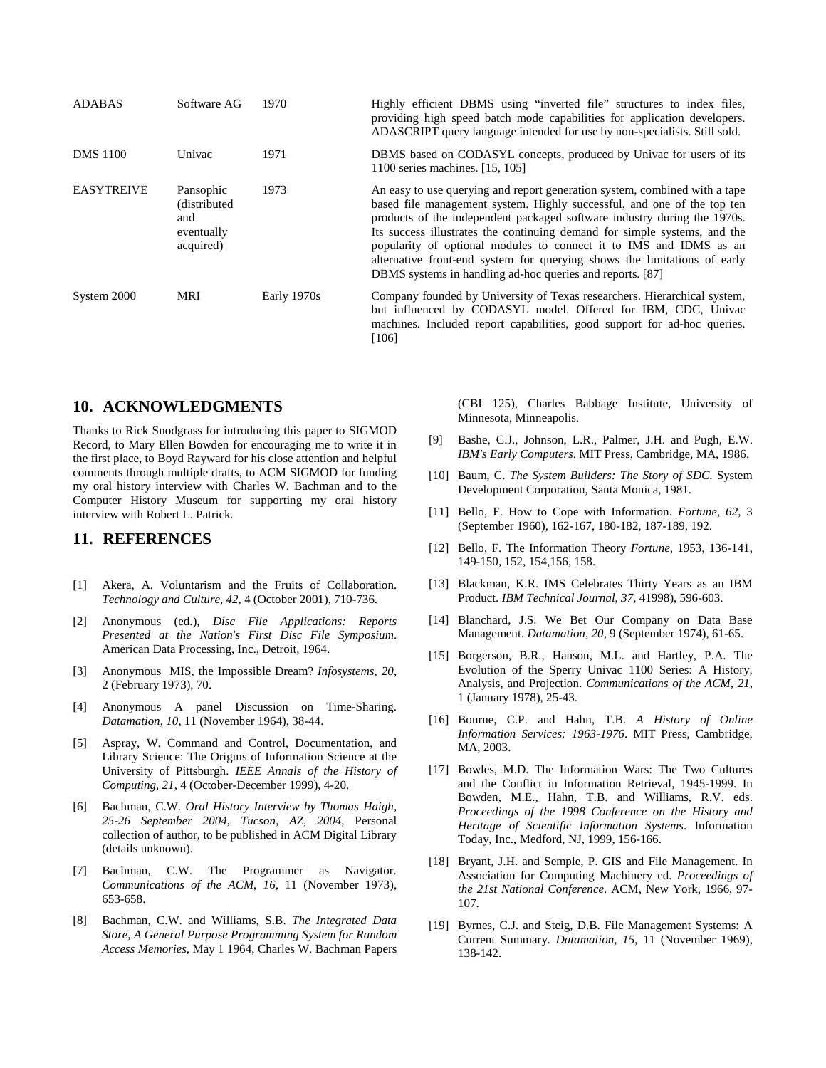| <b>ADABAS</b>     | Software AG                                                  | 1970        | Highly efficient DBMS using "inverted file" structures to index files,<br>providing high speed batch mode capabilities for application developers.<br>ADASCRIPT query language intended for use by non-specialists. Still sold.                                                                                                                                                                                                                                                                                               |
|-------------------|--------------------------------------------------------------|-------------|-------------------------------------------------------------------------------------------------------------------------------------------------------------------------------------------------------------------------------------------------------------------------------------------------------------------------------------------------------------------------------------------------------------------------------------------------------------------------------------------------------------------------------|
| <b>DMS</b> 1100   | Univac                                                       | 1971        | DBMS based on CODASYL concepts, produced by Univac for users of its<br>1100 series machines. [15, 105]                                                                                                                                                                                                                                                                                                                                                                                                                        |
| <b>EASYTREIVE</b> | Pansophic<br>(distributed)<br>and<br>eventually<br>acquired) | 1973        | An easy to use querying and report generation system, combined with a tape<br>based file management system. Highly successful, and one of the top ten<br>products of the independent packaged software industry during the 1970s.<br>Its success illustrates the continuing demand for simple systems, and the<br>popularity of optional modules to connect it to IMS and IDMS as an<br>alternative front-end system for querying shows the limitations of early<br>DBMS systems in handling ad-hoc queries and reports. [87] |
| System 2000       | MRI                                                          | Early 1970s | Company founded by University of Texas researchers. Hierarchical system,<br>but influenced by CODASYL model. Offered for IBM, CDC, Univac<br>machines. Included report capabilities, good support for ad-hoc queries.<br>[106]                                                                                                                                                                                                                                                                                                |

#### **10. ACKNOWLEDGMENTS**

Thanks to Rick Snodgrass for introducing this paper to SIGMOD Record, to Mary Ellen Bowden for encouraging me to write it in the first place, to Boyd Rayward for his close attention and helpful comments through multiple drafts, to ACM SIGMOD for funding my oral history interview with Charles W. Bachman and to the Computer History Museum for supporting my oral history interview with Robert L. Patrick.

#### **11. REFERENCES**

- [1] Akera, A. Voluntarism and the Fruits of Collaboration. *Technology and Culture*, *42*, 4 (October 2001), 710-736.
- [2] Anonymous (ed.), *Disc File Applications: Reports Presented at the Nation's First Disc File Symposium*. American Data Processing, Inc., Detroit, 1964.
- [3] Anonymous MIS, the Impossible Dream? *Infosystems*, *20*, 2 (February 1973), 70.
- [4] Anonymous A panel Discussion on Time-Sharing. *Datamation*, *10*, 11 (November 1964), 38-44.
- [5] Aspray, W. Command and Control, Documentation, and Library Science: The Origins of Information Science at the University of Pittsburgh. *IEEE Annals of the History of Computing*, *21*, 4 (October-December 1999), 4-20.
- [6] Bachman, C.W. *Oral History Interview by Thomas Haigh, 25-26 September 2004, Tucson, AZ, 2004*, Personal collection of author, to be published in ACM Digital Library (details unknown).
- [7] Bachman, C.W. The Programmer as Navigator. *Communications of the ACM*, *16*, 11 (November 1973), 653-658.
- [8] Bachman, C.W. and Williams, S.B. *The Integrated Data Store, A General Purpose Programming System for Random Access Memories,* May 1 1964, Charles W. Bachman Papers

(CBI 125), Charles Babbage Institute, University of Minnesota, Minneapolis.

- [9] Bashe, C.J., Johnson, L.R., Palmer, J.H. and Pugh, E.W. *IBM's Early Computers*. MIT Press, Cambridge, MA, 1986.
- [10] Baum, C. *The System Builders: The Story of SDC*. System Development Corporation, Santa Monica, 1981.
- [11] Bello, F. How to Cope with Information. *Fortune*, *62*, 3 (September 1960), 162-167, 180-182, 187-189, 192.
- [12] Bello, F. The Information Theory *Fortune*, 1953, 136-141, 149-150, 152, 154,156, 158.
- [13] Blackman, K.R. IMS Celebrates Thirty Years as an IBM Product. *IBM Technical Journal*, *37*, 41998), 596-603.
- [14] Blanchard, J.S. We Bet Our Company on Data Base Management. *Datamation*, *20*, 9 (September 1974), 61-65.
- [15] Borgerson, B.R., Hanson, M.L. and Hartley, P.A. The Evolution of the Sperry Univac 1100 Series: A History, Analysis, and Projection. *Communications of the ACM*, *21*, 1 (January 1978), 25-43.
- [16] Bourne, C.P. and Hahn, T.B. *A History of Online Information Services: 1963-1976*. MIT Press, Cambridge, MA, 2003.
- [17] Bowles, M.D. The Information Wars: The Two Cultures and the Conflict in Information Retrieval, 1945-1999. In Bowden, M.E., Hahn, T.B. and Williams, R.V. eds. *Proceedings of the 1998 Conference on the History and Heritage of Scientific Information Systems*. Information Today, Inc., Medford, NJ, 1999, 156-166.
- [18] Bryant, J.H. and Semple, P. GIS and File Management. In Association for Computing Machinery ed. *Proceedings of the 21st National Conference*. ACM, New York, 1966, 97- 107.
- [19] Byrnes, C.J. and Steig, D.B. File Management Systems: A Current Summary. *Datamation*, *15*, 11 (November 1969), 138-142.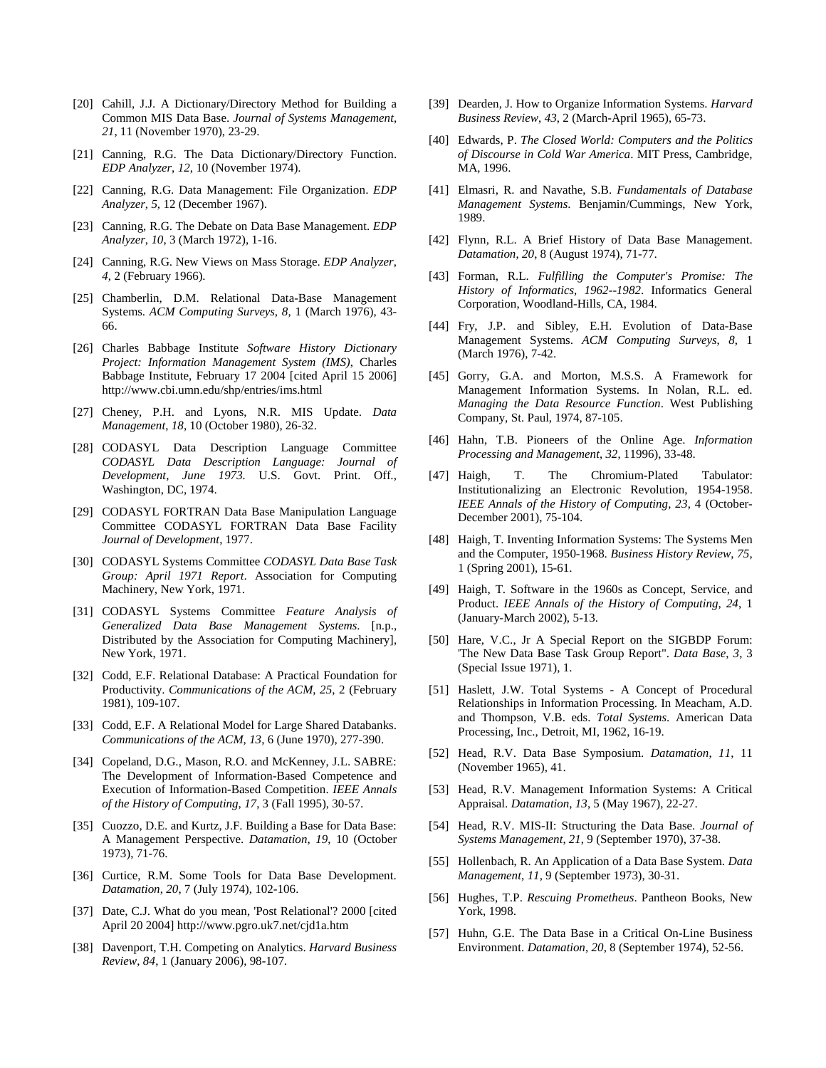- [20] Cahill, J.J. A Dictionary/Directory Method for Building a Common MIS Data Base. *Journal of Systems Management*, *21*, 11 (November 1970), 23-29.
- [21] Canning, R.G. The Data Dictionary/Directory Function. *EDP Analyzer*, *12*, 10 (November 1974).
- [22] Canning, R.G. Data Management: File Organization. *EDP Analyzer*, *5*, 12 (December 1967).
- [23] Canning, R.G. The Debate on Data Base Management. *EDP Analyzer*, *10*, 3 (March 1972), 1-16.
- [24] Canning, R.G. New Views on Mass Storage. *EDP Analyzer*, *4*, 2 (February 1966).
- [25] Chamberlin, D.M. Relational Data-Base Management Systems. *ACM Computing Surveys*, *8*, 1 (March 1976), 43- 66.
- [26] Charles Babbage Institute *Software History Dictionary Project: Information Management System (IMS)*, Charles Babbage Institute, February 17 2004 [cited April 15 2006] http://www.cbi.umn.edu/shp/entries/ims.html
- [27] Cheney, P.H. and Lyons, N.R. MIS Update. *Data Management*, *18*, 10 (October 1980), 26-32.
- [28] CODASYL Data Description Language Committee *CODASYL Data Description Language: Journal of Development, June 1973.* U.S. Govt. Print. Off., Washington, DC, 1974.
- [29] CODASYL FORTRAN Data Base Manipulation Language Committee CODASYL FORTRAN Data Base Facility *Journal of Development*, 1977.
- [30] CODASYL Systems Committee *CODASYL Data Base Task Group: April 1971 Report*. Association for Computing Machinery, New York, 1971.
- [31] CODASYL Systems Committee *Feature Analysis of Generalized Data Base Management Systems*. [n.p., Distributed by the Association for Computing Machinery], New York, 1971.
- [32] Codd, E.F. Relational Database: A Practical Foundation for Productivity. *Communications of the ACM*, *25*, 2 (February 1981), 109-107.
- [33] Codd, E.F. A Relational Model for Large Shared Databanks. *Communications of the ACM*, *13*, 6 (June 1970), 277-390.
- [34] Copeland, D.G., Mason, R.O. and McKenney, J.L. SABRE: The Development of Information-Based Competence and Execution of Information-Based Competition. *IEEE Annals of the History of Computing*, *17*, 3 (Fall 1995), 30-57.
- [35] Cuozzo, D.E. and Kurtz, J.F. Building a Base for Data Base: A Management Perspective. *Datamation*, *19*, 10 (October 1973), 71-76.
- [36] Curtice, R.M. Some Tools for Data Base Development. *Datamation*, *20*, 7 (July 1974), 102-106.
- [37] Date, C.J. What do you mean, 'Post Relational'? 2000 [cited] April 20 2004] http://www.pgro.uk7.net/cjd1a.htm
- [38] Davenport, T.H. Competing on Analytics. *Harvard Business Review*, *84*, 1 (January 2006), 98-107.
- [39] Dearden, J. How to Organize Information Systems. *Harvard Business Review*, *43*, 2 (March-April 1965), 65-73.
- [40] Edwards, P. *The Closed World: Computers and the Politics of Discourse in Cold War America*. MIT Press, Cambridge, MA, 1996.
- [41] Elmasri, R. and Navathe, S.B. *Fundamentals of Database Management Systems*. Benjamin/Cummings, New York, 1989.
- [42] Flynn, R.L. A Brief History of Data Base Management. *Datamation*, *20*, 8 (August 1974), 71-77.
- [43] Forman, R.L. *Fulfilling the Computer's Promise: The History of Informatics, 1962--1982*. Informatics General Corporation, Woodland-Hills, CA, 1984.
- [44] Fry, J.P. and Sibley, E.H. Evolution of Data-Base Management Systems. *ACM Computing Surveys*, *8*, 1 (March 1976), 7-42.
- [45] Gorry, G.A. and Morton, M.S.S. A Framework for Management Information Systems. In Nolan, R.L. ed. *Managing the Data Resource Function*. West Publishing Company, St. Paul, 1974, 87-105.
- [46] Hahn, T.B. Pioneers of the Online Age. *Information Processing and Management*, *32*, 11996), 33-48.
- [47] Haigh, T. The Chromium-Plated Tabulator: Institutionalizing an Electronic Revolution, 1954-1958. *IEEE Annals of the History of Computing*, *23*, 4 (October-December 2001), 75-104.
- [48] Haigh, T. Inventing Information Systems: The Systems Men and the Computer, 1950-1968. *Business History Review*, *75*, 1 (Spring 2001), 15-61.
- [49] Haigh, T. Software in the 1960s as Concept, Service, and Product. *IEEE Annals of the History of Computing*, *24*, 1 (January-March 2002), 5-13.
- [50] Hare, V.C., Jr A Special Report on the SIGBDP Forum: 'The New Data Base Task Group Report". *Data Base*, *3*, 3 (Special Issue 1971), 1.
- [51] Haslett, J.W. Total Systems A Concept of Procedural Relationships in Information Processing. In Meacham, A.D. and Thompson, V.B. eds. *Total Systems*. American Data Processing, Inc., Detroit, MI, 1962, 16-19.
- [52] Head, R.V. Data Base Symposium. *Datamation*, *11*, 11 (November 1965), 41.
- [53] Head, R.V. Management Information Systems: A Critical Appraisal. *Datamation*, *13*, 5 (May 1967), 22-27.
- [54] Head, R.V. MIS-II: Structuring the Data Base. *Journal of Systems Management*, *21*, 9 (September 1970), 37-38.
- [55] Hollenbach, R. An Application of a Data Base System. *Data Management*, *11*, 9 (September 1973), 30-31.
- [56] Hughes, T.P. *Rescuing Prometheus*. Pantheon Books, New York, 1998.
- [57] Huhn, G.E. The Data Base in a Critical On-Line Business Environment. *Datamation*, *20*, 8 (September 1974), 52-56.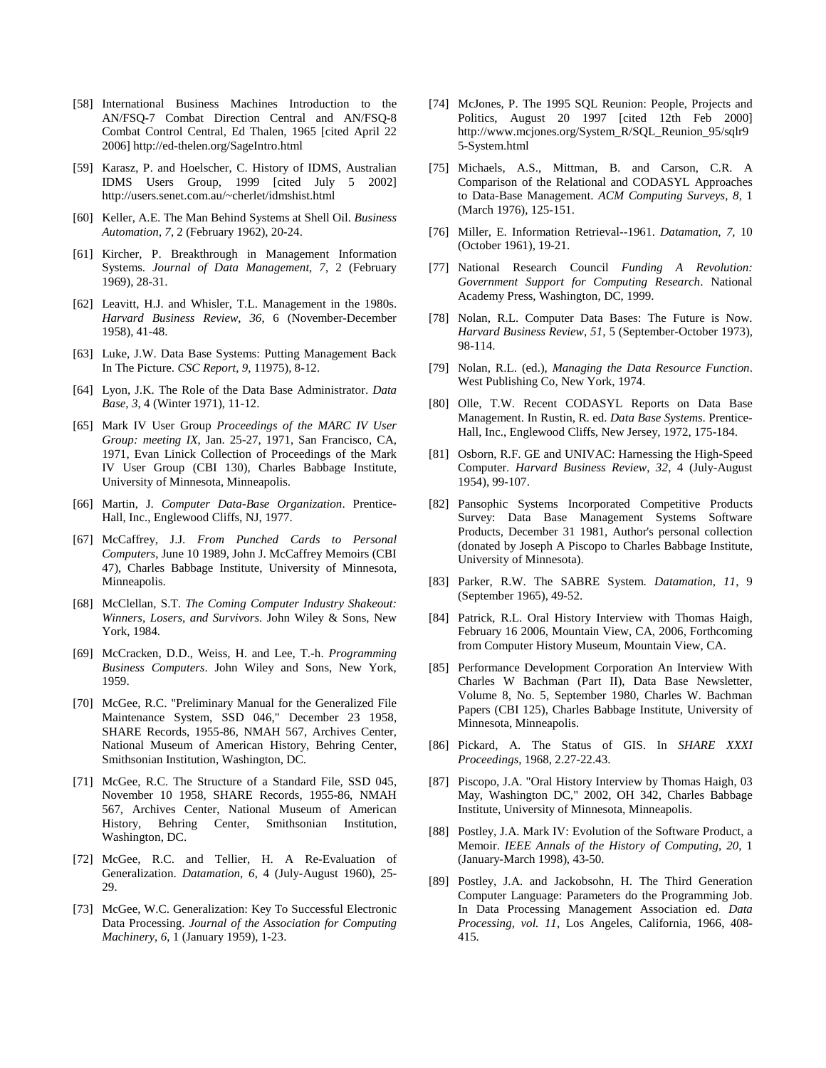- [58] International Business Machines Introduction to the AN/FSQ-7 Combat Direction Central and AN/FSQ-8 Combat Control Central, Ed Thalen, 1965 [cited April 22 2006] http://ed-thelen.org/SageIntro.html
- [59] Karasz, P. and Hoelscher, C. History of IDMS, Australian IDMS Users Group, 1999 [cited July 5 2002] http://users.senet.com.au/~cherlet/idmshist.html
- [60] Keller, A.E. The Man Behind Systems at Shell Oil. *Business Automation*, *7*, 2 (February 1962), 20-24.
- [61] Kircher, P. Breakthrough in Management Information Systems. *Journal of Data Management*, *7*, 2 (February 1969), 28-31.
- [62] Leavitt, H.J. and Whisler, T.L. Management in the 1980s. *Harvard Business Review*, *36*, 6 (November-December 1958), 41-48.
- [63] Luke, J.W. Data Base Systems: Putting Management Back In The Picture. *CSC Report*, *9*, 11975), 8-12.
- [64] Lyon, J.K. The Role of the Data Base Administrator. *Data Base*, *3*, 4 (Winter 1971), 11-12.
- [65] Mark IV User Group *Proceedings of the MARC IV User Group: meeting IX*, Jan. 25-27, 1971, San Francisco, CA, 1971, Evan Linick Collection of Proceedings of the Mark IV User Group (CBI 130), Charles Babbage Institute, University of Minnesota, Minneapolis.
- [66] Martin, J. *Computer Data-Base Organization*. Prentice-Hall, Inc., Englewood Cliffs, NJ, 1977.
- [67] McCaffrey, J.J. *From Punched Cards to Personal Computers*, June 10 1989, John J. McCaffrey Memoirs (CBI 47), Charles Babbage Institute, University of Minnesota, Minneapolis.
- [68] McClellan, S.T. *The Coming Computer Industry Shakeout: Winners, Losers, and Survivors*. John Wiley & Sons, New York, 1984.
- [69] McCracken, D.D., Weiss, H. and Lee, T.-h. *Programming Business Computers*. John Wiley and Sons, New York, 1959.
- [70] McGee, R.C. "Preliminary Manual for the Generalized File Maintenance System, SSD 046," December 23 1958, SHARE Records, 1955-86, NMAH 567, Archives Center, National Museum of American History, Behring Center, Smithsonian Institution, Washington, DC.
- [71] McGee, R.C. The Structure of a Standard File, SSD 045, November 10 1958, SHARE Records, 1955-86, NMAH 567, Archives Center, National Museum of American History, Behring Center, Smithsonian Institution, Washington, DC.
- [72] McGee, R.C. and Tellier, H. A Re-Evaluation of Generalization. *Datamation*, *6*, 4 (July-August 1960), 25- 29.
- [73] McGee, W.C. Generalization: Key To Successful Electronic Data Processing. *Journal of the Association for Computing Machinery*, *6*, 1 (January 1959), 1-23.
- [74] McJones, P. The 1995 SQL Reunion: People, Projects and Politics, August 20 1997 [cited 12th Feb 2000] http://www.mcjones.org/System\_R/SQL\_Reunion\_95/sqlr9 5-System.html
- [75] Michaels, A.S., Mittman, B. and Carson, C.R. A Comparison of the Relational and CODASYL Approaches to Data-Base Management. *ACM Computing Surveys*, *8*, 1 (March 1976), 125-151.
- [76] Miller, E. Information Retrieval--1961. *Datamation*, *7*, 10 (October 1961), 19-21.
- [77] National Research Council *Funding A Revolution: Government Support for Computing Research*. National Academy Press, Washington, DC, 1999.
- [78] Nolan, R.L. Computer Data Bases: The Future is Now. *Harvard Business Review*, *51*, 5 (September-October 1973), 98-114.
- [79] Nolan, R.L. (ed.), *Managing the Data Resource Function*. West Publishing Co, New York, 1974.
- [80] Olle, T.W. Recent CODASYL Reports on Data Base Management. In Rustin, R. ed. *Data Base Systems*. Prentice-Hall, Inc., Englewood Cliffs, New Jersey, 1972, 175-184.
- [81] Osborn, R.F. GE and UNIVAC: Harnessing the High-Speed Computer. *Harvard Business Review*, *32*, 4 (July-August 1954), 99-107.
- [82] Pansophic Systems Incorporated Competitive Products Survey: Data Base Management Systems Software Products, December 31 1981, Author's personal collection (donated by Joseph A Piscopo to Charles Babbage Institute, University of Minnesota).
- [83] Parker, R.W. The SABRE System. *Datamation*, *11*, 9 (September 1965), 49-52.
- [84] Patrick, R.L. Oral History Interview with Thomas Haigh, February 16 2006, Mountain View, CA, 2006, Forthcoming from Computer History Museum, Mountain View, CA.
- [85] Performance Development Corporation An Interview With Charles W Bachman (Part II), Data Base Newsletter, Volume 8, No. 5, September 1980, Charles W. Bachman Papers (CBI 125), Charles Babbage Institute, University of Minnesota, Minneapolis.
- [86] Pickard, A. The Status of GIS. In *SHARE XXXI Proceedings*, 1968, 2.27-22.43.
- [87] Piscopo, J.A. "Oral History Interview by Thomas Haigh, 03 May, Washington DC," 2002, OH 342, Charles Babbage Institute, University of Minnesota, Minneapolis.
- [88] Postley, J.A. Mark IV: Evolution of the Software Product, a Memoir. *IEEE Annals of the History of Computing*, *20*, 1 (January-March 1998), 43-50.
- [89] Postley, J.A. and Jackobsohn, H. The Third Generation Computer Language: Parameters do the Programming Job. In Data Processing Management Association ed. *Data Processing, vol. 11*, Los Angeles, California, 1966, 408- 415.